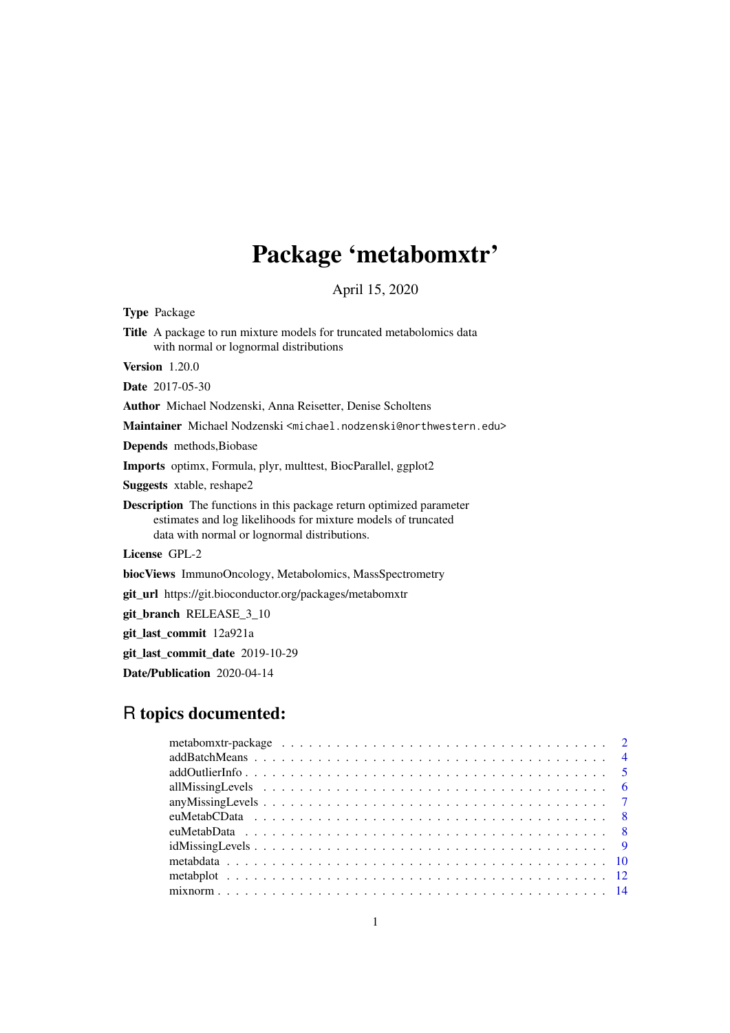# Package 'metabomxtr'

April 15, 2020

Type Package

Title A package to run mixture models for truncated metabolomics data with normal or lognormal distributions

Version 1.20.0

Date 2017-05-30

Author Michael Nodzenski, Anna Reisetter, Denise Scholtens

Maintainer Michael Nodzenski <michael.nodzenski@northwestern.edu>

Depends methods,Biobase

Imports optimx, Formula, plyr, multtest, BiocParallel, ggplot2

Suggests xtable, reshape2

Description The functions in this package return optimized parameter estimates and log likelihoods for mixture models of truncated data with normal or lognormal distributions.

License GPL-2

biocViews ImmunoOncology, Metabolomics, MassSpectrometry

git\_url https://git.bioconductor.org/packages/metabomxtr

git\_branch RELEASE\_3\_10

git\_last\_commit 12a921a

git last commit date 2019-10-29

Date/Publication 2020-04-14

## R topics documented:

| $addOutlierInfo \ldots \ldots \ldots \ldots \ldots \ldots \ldots \ldots \ldots \ldots \ldots \ldots \ldots 5$            |  |  |  |  |  |  |  |  |  |  |  |  |  |  |  |  |  |  |
|--------------------------------------------------------------------------------------------------------------------------|--|--|--|--|--|--|--|--|--|--|--|--|--|--|--|--|--|--|
|                                                                                                                          |  |  |  |  |  |  |  |  |  |  |  |  |  |  |  |  |  |  |
|                                                                                                                          |  |  |  |  |  |  |  |  |  |  |  |  |  |  |  |  |  |  |
|                                                                                                                          |  |  |  |  |  |  |  |  |  |  |  |  |  |  |  |  |  |  |
|                                                                                                                          |  |  |  |  |  |  |  |  |  |  |  |  |  |  |  |  |  |  |
| $idMissing Levels \dots \dots \dots \dots \dots \dots \dots \dots \dots \dots \dots \dots \dots \dots \dots \dots \dots$ |  |  |  |  |  |  |  |  |  |  |  |  |  |  |  |  |  |  |
|                                                                                                                          |  |  |  |  |  |  |  |  |  |  |  |  |  |  |  |  |  |  |
|                                                                                                                          |  |  |  |  |  |  |  |  |  |  |  |  |  |  |  |  |  |  |
|                                                                                                                          |  |  |  |  |  |  |  |  |  |  |  |  |  |  |  |  |  |  |
|                                                                                                                          |  |  |  |  |  |  |  |  |  |  |  |  |  |  |  |  |  |  |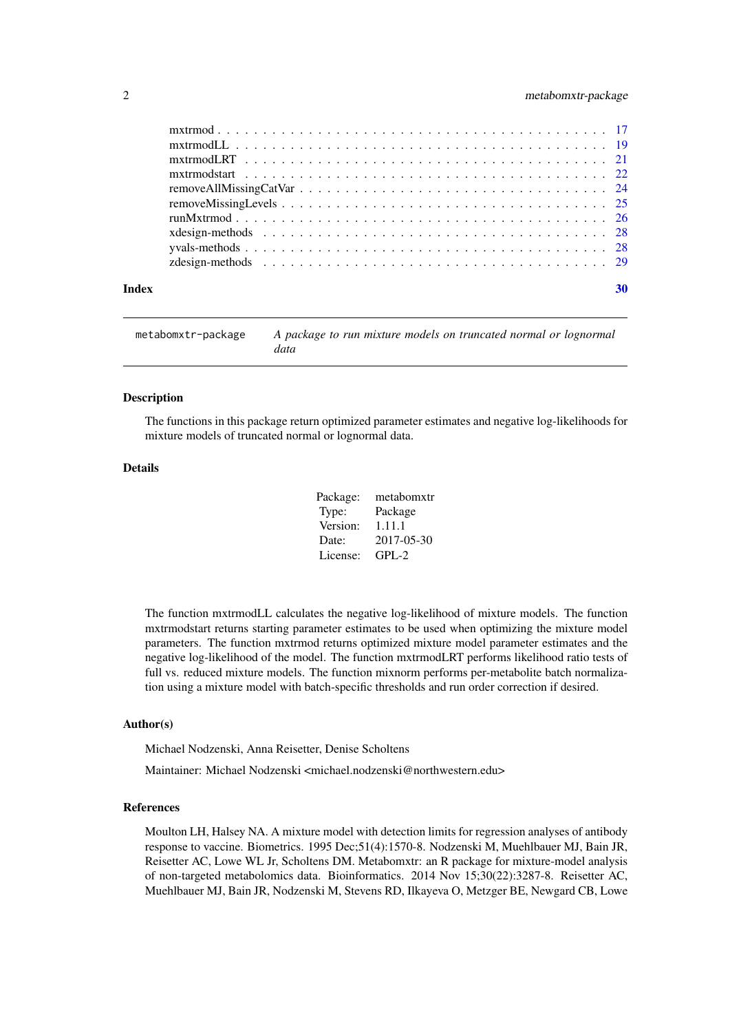#### <span id="page-1-0"></span>2 metabomxtr-package

| Index |  |
|-------|--|
|       |  |
|       |  |
|       |  |
|       |  |
|       |  |
|       |  |
|       |  |
|       |  |
|       |  |
|       |  |

metabomxtr-package *A package to run mixture models on truncated normal or lognormal data*

#### Description

The functions in this package return optimized parameter estimates and negative log-likelihoods for mixture models of truncated normal or lognormal data.

#### Details

| Package: | metabomxtr |
|----------|------------|
| Type:    | Package    |
| Version: | 1.11.1     |
| Date:    | 2017-05-30 |
| License: | $GPI - 2$  |

The function mxtrmodLL calculates the negative log-likelihood of mixture models. The function mxtrmodstart returns starting parameter estimates to be used when optimizing the mixture model parameters. The function mxtrmod returns optimized mixture model parameter estimates and the negative log-likelihood of the model. The function mxtrmodLRT performs likelihood ratio tests of full vs. reduced mixture models. The function mixnorm performs per-metabolite batch normalization using a mixture model with batch-specific thresholds and run order correction if desired.

#### Author(s)

Michael Nodzenski, Anna Reisetter, Denise Scholtens

Maintainer: Michael Nodzenski <michael.nodzenski@northwestern.edu>

#### References

Moulton LH, Halsey NA. A mixture model with detection limits for regression analyses of antibody response to vaccine. Biometrics. 1995 Dec;51(4):1570-8. Nodzenski M, Muehlbauer MJ, Bain JR, Reisetter AC, Lowe WL Jr, Scholtens DM. Metabomxtr: an R package for mixture-model analysis of non-targeted metabolomics data. Bioinformatics. 2014 Nov 15;30(22):3287-8. Reisetter AC, Muehlbauer MJ, Bain JR, Nodzenski M, Stevens RD, Ilkayeva O, Metzger BE, Newgard CB, Lowe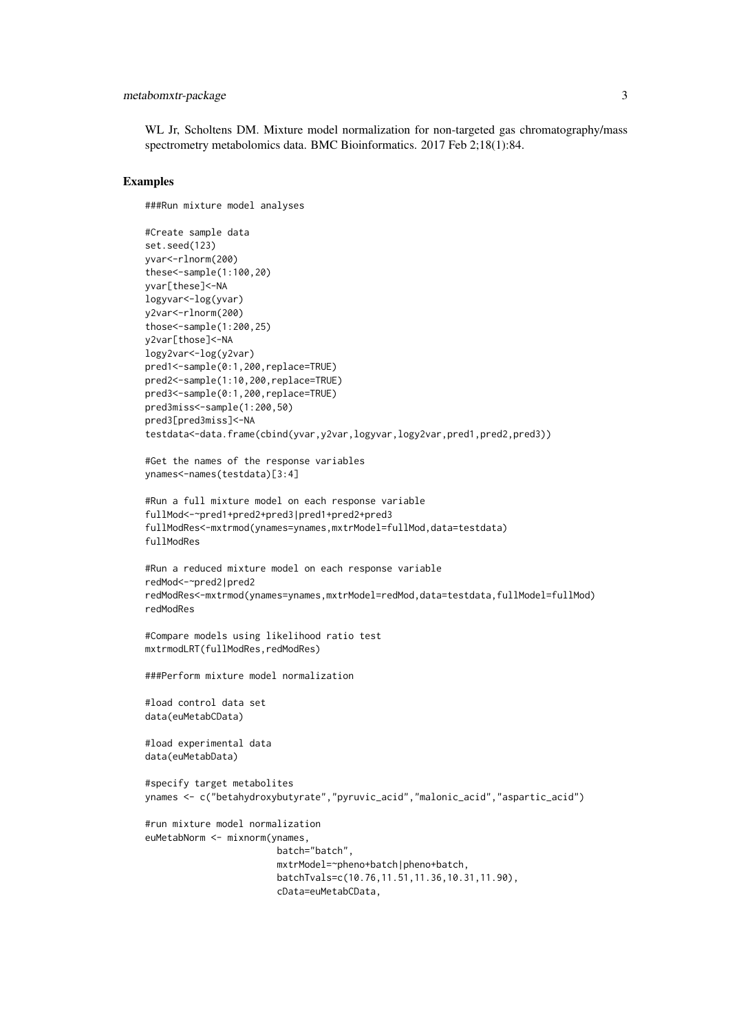#### metabomxtr-package 3

WL Jr, Scholtens DM. Mixture model normalization for non-targeted gas chromatography/mass spectrometry metabolomics data. BMC Bioinformatics. 2017 Feb 2;18(1):84.

#### Examples

###Run mixture model analyses

```
#Create sample data
set.seed(123)
yvar<-rlnorm(200)
these<-sample(1:100,20)
yvar[these]<-NA
logyvar<-log(yvar)
y2var<-rlnorm(200)
those<-sample(1:200,25)
y2var[those]<-NA
logy2var<-log(y2var)
pred1<-sample(0:1,200,replace=TRUE)
pred2<-sample(1:10,200,replace=TRUE)
pred3<-sample(0:1,200,replace=TRUE)
pred3miss<-sample(1:200,50)
pred3[pred3miss]<-NA
testdata<-data.frame(cbind(yvar,y2var,logyvar,logy2var,pred1,pred2,pred3))
#Get the names of the response variables
ynames<-names(testdata)[3:4]
#Run a full mixture model on each response variable
fullMod<-~pred1+pred2+pred3|pred1+pred2+pred3
fullModRes<-mxtrmod(ynames=ynames,mxtrModel=fullMod,data=testdata)
fullModRes
#Run a reduced mixture model on each response variable
redMod<-~pred2|pred2
redModRes<-mxtrmod(ynames=ynames,mxtrModel=redMod,data=testdata,fullModel=fullMod)
redModRes
#Compare models using likelihood ratio test
mxtrmodLRT(fullModRes,redModRes)
###Perform mixture model normalization
#load control data set
data(euMetabCData)
#load experimental data
data(euMetabData)
#specify target metabolites
ynames <- c("betahydroxybutyrate","pyruvic_acid","malonic_acid","aspartic_acid")
#run mixture model normalization
euMetabNorm <- mixnorm(ynames,
                        batch="batch",
                        mxtrModel=~pheno+batch|pheno+batch,
                        batchTvals=c(10.76,11.51,11.36,10.31,11.90),
                        cData=euMetabCData,
```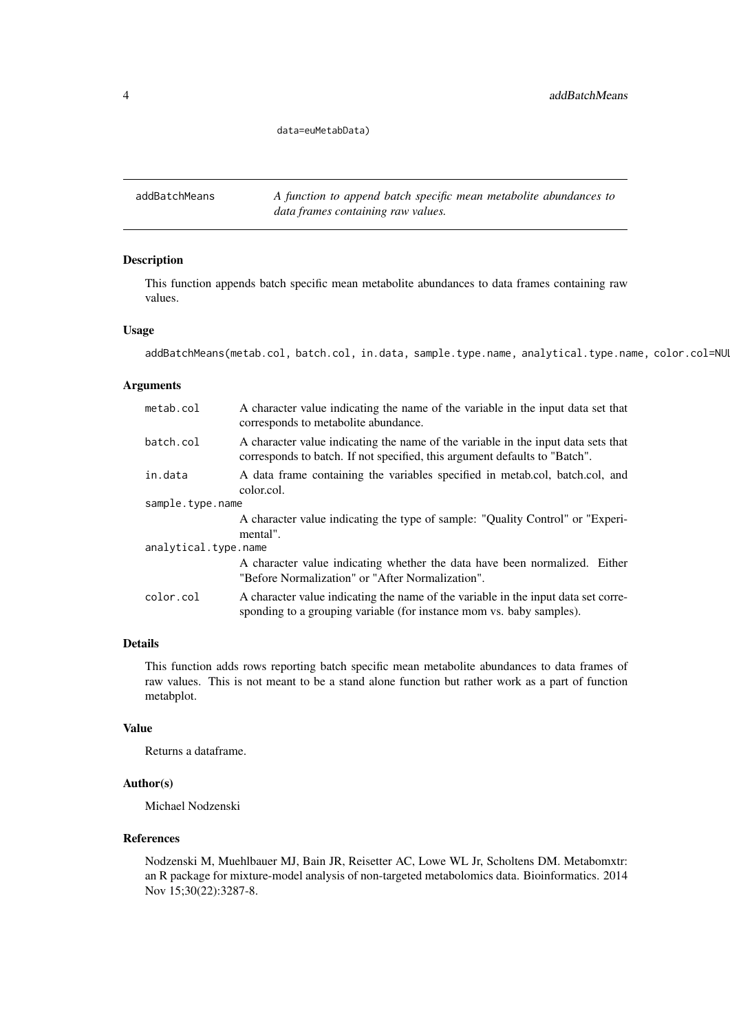data=euMetabData)

<span id="page-3-0"></span>addBatchMeans *A function to append batch specific mean metabolite abundances to data frames containing raw values.*

#### Description

This function appends batch specific mean metabolite abundances to data frames containing raw values.

#### Usage

```
addBatchMeans(metab.col, batch.col, in.data, sample.type.name, analytical.type.name, color.col=NUL
```
#### Arguments

| metab.col        | A character value indicating the name of the variable in the input data set that<br>corresponds to metabolite abundance.                                        |  |  |  |  |
|------------------|-----------------------------------------------------------------------------------------------------------------------------------------------------------------|--|--|--|--|
| batch.col        | A character value indicating the name of the variable in the input data sets that<br>corresponds to batch. If not specified, this argument defaults to "Batch". |  |  |  |  |
| in.data          | A data frame containing the variables specified in metab.col, batch.col, and<br>color.col.                                                                      |  |  |  |  |
| sample.type.name |                                                                                                                                                                 |  |  |  |  |
|                  | A character value indicating the type of sample: "Quality Control" or "Experi-<br>mental".                                                                      |  |  |  |  |
|                  | analytical.type.name                                                                                                                                            |  |  |  |  |
|                  | A character value indicating whether the data have been normalized. Either<br>"Before Normalization" or "After Normalization".                                  |  |  |  |  |
| color.col        | A character value indicating the name of the variable in the input data set corre-<br>sponding to a grouping variable (for instance mom vs. baby samples).      |  |  |  |  |

#### Details

This function adds rows reporting batch specific mean metabolite abundances to data frames of raw values. This is not meant to be a stand alone function but rather work as a part of function metabplot.

#### Value

Returns a dataframe.

#### Author(s)

Michael Nodzenski

#### References

Nodzenski M, Muehlbauer MJ, Bain JR, Reisetter AC, Lowe WL Jr, Scholtens DM. Metabomxtr: an R package for mixture-model analysis of non-targeted metabolomics data. Bioinformatics. 2014 Nov 15;30(22):3287-8.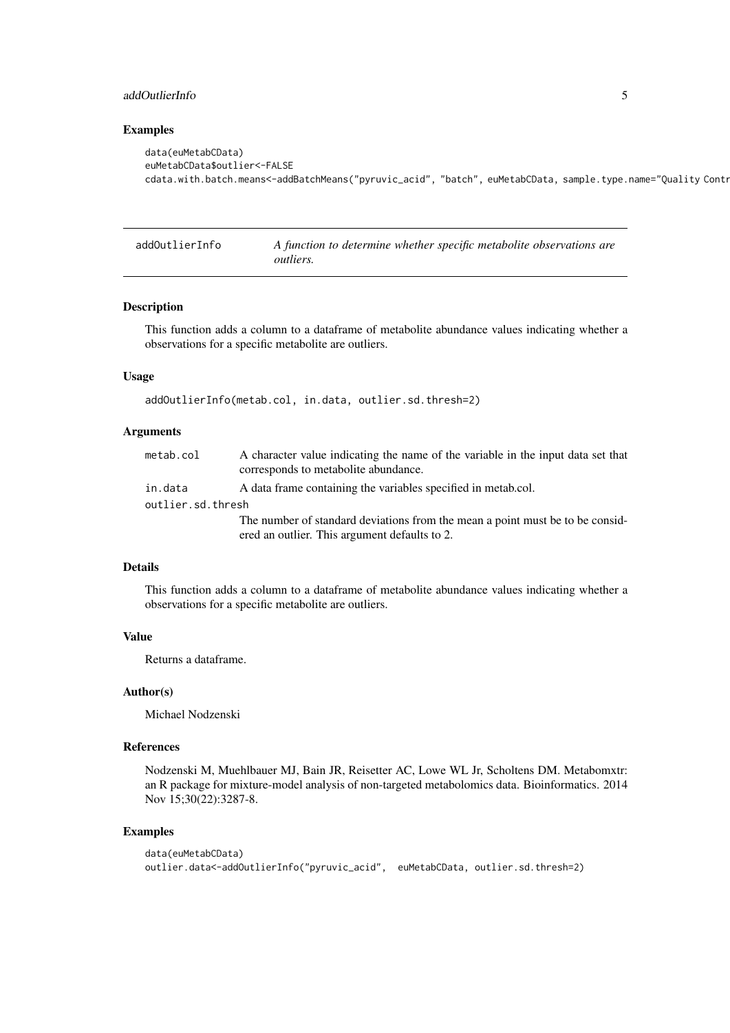#### <span id="page-4-0"></span>addOutlierInfo 5

#### Examples

```
data(euMetabCData)
euMetabCData$outlier<-FALSE
cdata.with.batch.means<-addBatchMeans("pyruvic_acid", "batch", euMetabCData, sample.type.name="Quality Contr
```
addOutlierInfo *A function to determine whether specific metabolite observations are outliers.*

#### Description

This function adds a column to a dataframe of metabolite abundance values indicating whether a observations for a specific metabolite are outliers.

#### Usage

```
addOutlierInfo(metab.col, in.data, outlier.sd.thresh=2)
```
#### Arguments

| metab.col         | A character value indicating the name of the variable in the input data set that<br>corresponds to metabolite abundance. |
|-------------------|--------------------------------------------------------------------------------------------------------------------------|
| in.data           | A data frame containing the variables specified in metab.col.                                                            |
| outlier.sd.thresh |                                                                                                                          |
|                   | The number of standard deviations from the mean a point must be to be consider-                                          |
|                   | ered an outlier. This argument defaults to 2.                                                                            |

#### Details

This function adds a column to a dataframe of metabolite abundance values indicating whether a observations for a specific metabolite are outliers.

#### Value

Returns a dataframe.

#### Author(s)

Michael Nodzenski

#### References

Nodzenski M, Muehlbauer MJ, Bain JR, Reisetter AC, Lowe WL Jr, Scholtens DM. Metabomxtr: an R package for mixture-model analysis of non-targeted metabolomics data. Bioinformatics. 2014 Nov 15;30(22):3287-8.

#### Examples

```
data(euMetabCData)
outlier.data<-addOutlierInfo("pyruvic_acid", euMetabCData, outlier.sd.thresh=2)
```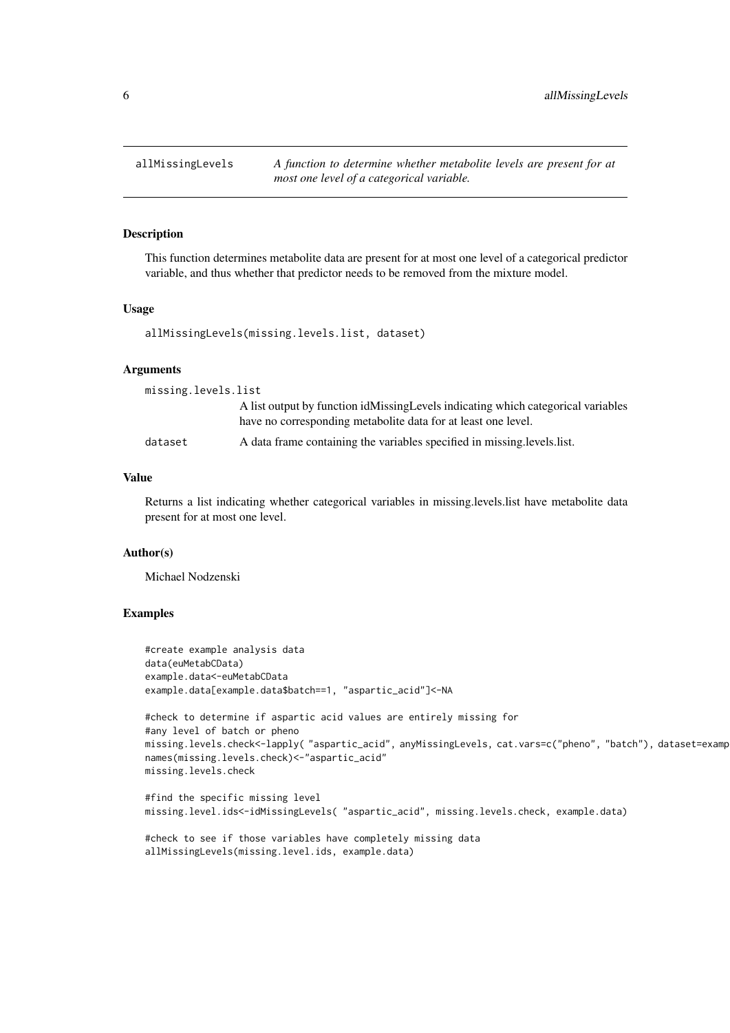<span id="page-5-0"></span>

This function determines metabolite data are present for at most one level of a categorical predictor variable, and thus whether that predictor needs to be removed from the mixture model.

#### Usage

allMissingLevels(missing.levels.list, dataset)

#### Arguments

| missing.levels.list |                                                                                                                                                   |
|---------------------|---------------------------------------------------------------------------------------------------------------------------------------------------|
|                     | A list output by function idMissingLevels indicating which categorical variables<br>have no corresponding metabolite data for at least one level. |
| dataset             | A data frame containing the variables specified in missing levels list.                                                                           |

#### Value

Returns a list indicating whether categorical variables in missing.levels.list have metabolite data present for at most one level.

#### Author(s)

Michael Nodzenski

#### Examples

```
#create example analysis data
data(euMetabCData)
example.data<-euMetabCData
example.data[example.data$batch==1, "aspartic_acid"]<-NA
#check to determine if aspartic acid values are entirely missing for
#any level of batch or pheno
missing.levels.check<-lapply( "aspartic_acid", anyMissingLevels, cat.vars=c("pheno", "batch"), dataset=examp
names(missing.levels.check)<-"aspartic_acid"
missing.levels.check
#find the specific missing level
missing.level.ids<-idMissingLevels( "aspartic_acid", missing.levels.check, example.data)
#check to see if those variables have completely missing data
allMissingLevels(missing.level.ids, example.data)
```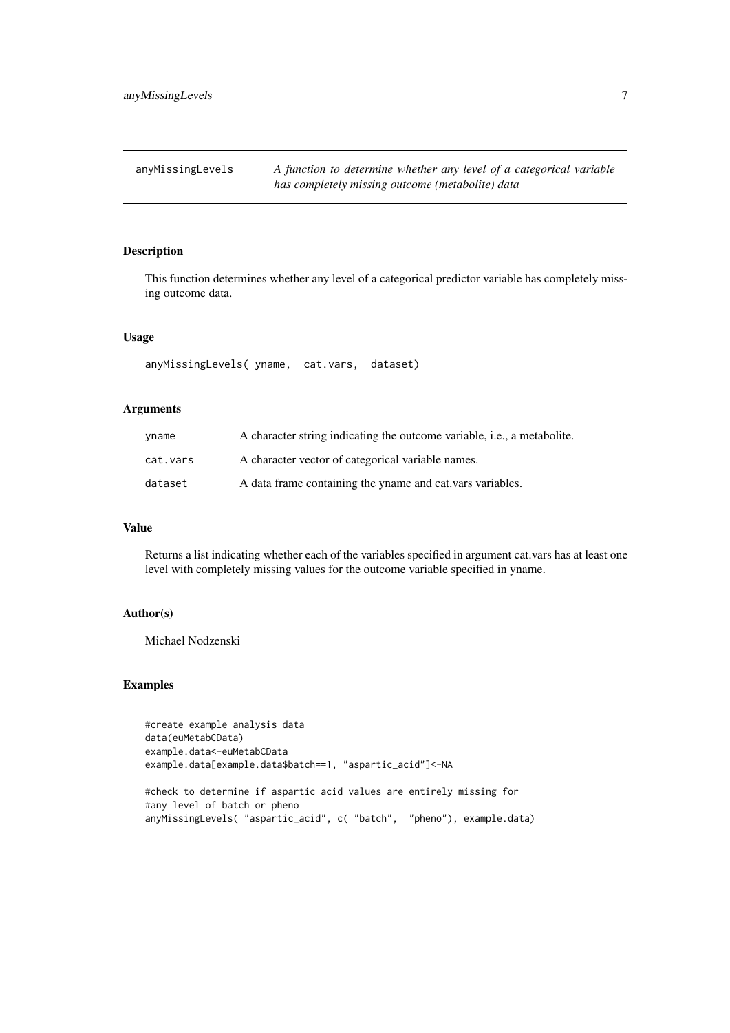<span id="page-6-0"></span>

This function determines whether any level of a categorical predictor variable has completely missing outcome data.

#### Usage

anyMissingLevels( yname, cat.vars, dataset)

#### Arguments

| yname    | A character string indicating the outcome variable, i.e., a metabolite. |
|----------|-------------------------------------------------------------------------|
| cat.vars | A character vector of categorical variable names.                       |
| dataset  | A data frame containing the yname and cat.vars variables.               |

#### Value

Returns a list indicating whether each of the variables specified in argument cat.vars has at least one level with completely missing values for the outcome variable specified in yname.

#### Author(s)

Michael Nodzenski

#### Examples

```
#create example analysis data
data(euMetabCData)
example.data<-euMetabCData
example.data[example.data$batch==1, "aspartic_acid"]<-NA
```
#check to determine if aspartic acid values are entirely missing for #any level of batch or pheno anyMissingLevels( "aspartic\_acid", c( "batch", "pheno"), example.data)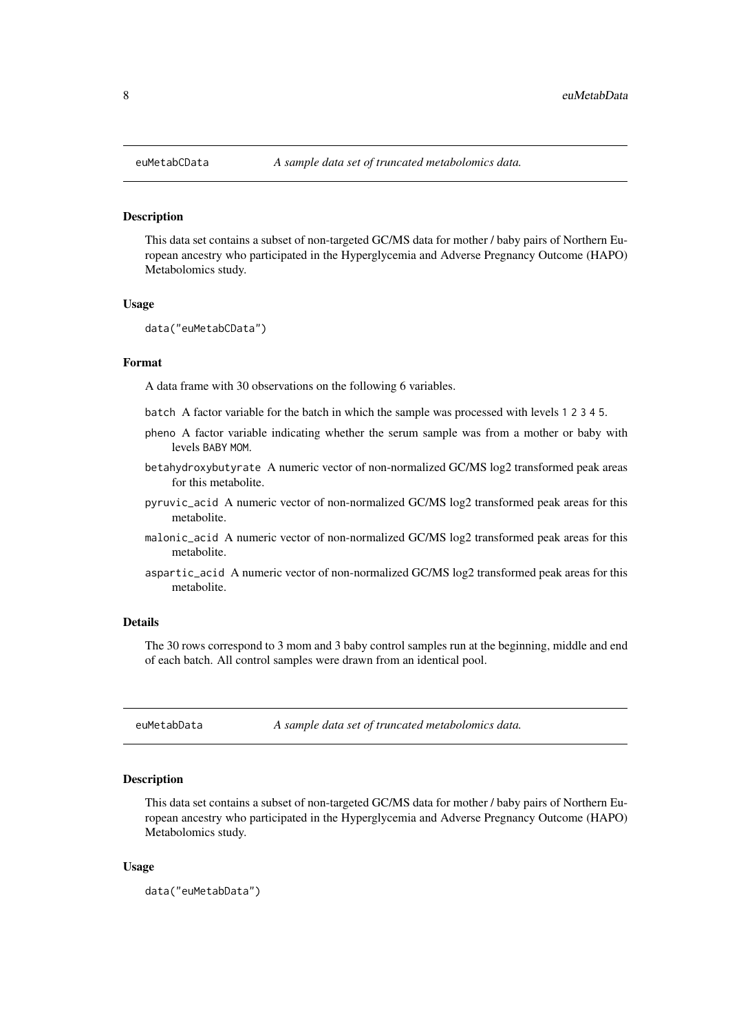<span id="page-7-0"></span>This data set contains a subset of non-targeted GC/MS data for mother / baby pairs of Northern European ancestry who participated in the Hyperglycemia and Adverse Pregnancy Outcome (HAPO) Metabolomics study.

#### Usage

```
data("euMetabCData")
```
#### Format

A data frame with 30 observations on the following 6 variables.

- batch A factor variable for the batch in which the sample was processed with levels 1 2 3 4 5.
- pheno A factor variable indicating whether the serum sample was from a mother or baby with levels BABY MOM.
- betahydroxybutyrate A numeric vector of non-normalized GC/MS log2 transformed peak areas for this metabolite.
- pyruvic\_acid A numeric vector of non-normalized GC/MS log2 transformed peak areas for this metabolite.
- malonic\_acid A numeric vector of non-normalized GC/MS log2 transformed peak areas for this metabolite.
- aspartic\_acid A numeric vector of non-normalized GC/MS log2 transformed peak areas for this metabolite.

#### Details

The 30 rows correspond to 3 mom and 3 baby control samples run at the beginning, middle and end of each batch. All control samples were drawn from an identical pool.

euMetabData *A sample data set of truncated metabolomics data.*

#### Description

This data set contains a subset of non-targeted GC/MS data for mother / baby pairs of Northern European ancestry who participated in the Hyperglycemia and Adverse Pregnancy Outcome (HAPO) Metabolomics study.

#### Usage

data("euMetabData")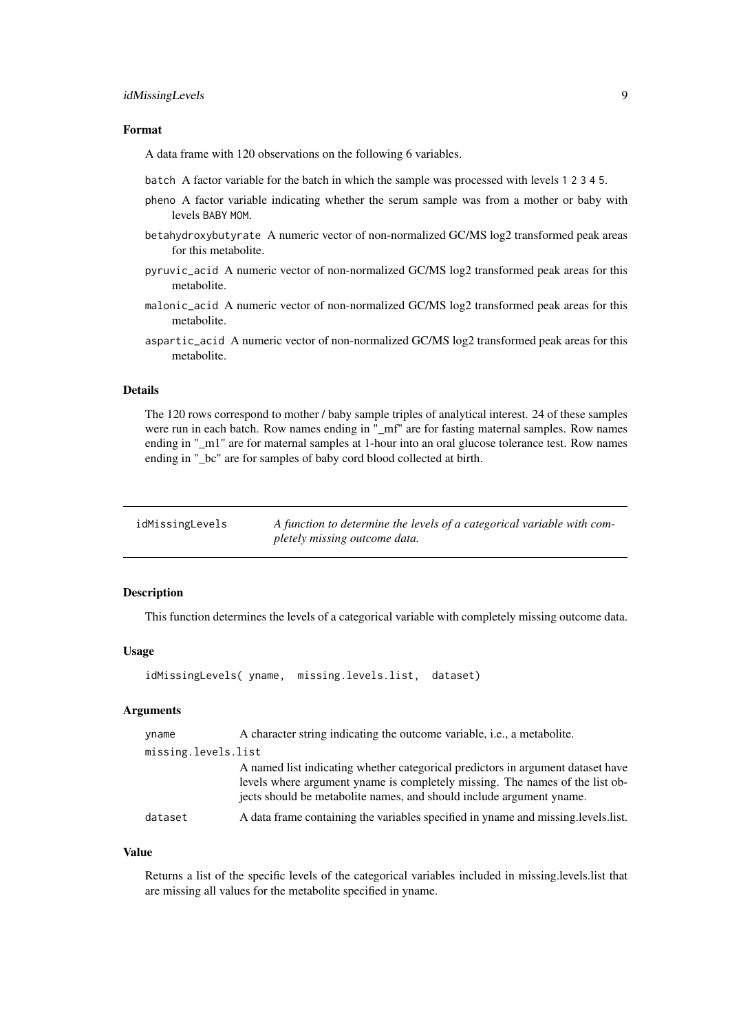#### <span id="page-8-0"></span>idMissingLevels 9

#### Format

A data frame with 120 observations on the following 6 variables.

batch A factor variable for the batch in which the sample was processed with levels 1 2 3 4 5.

- pheno A factor variable indicating whether the serum sample was from a mother or baby with levels BABY MOM.
- betahydroxybutyrate A numeric vector of non-normalized GC/MS log2 transformed peak areas for this metabolite.
- pyruvic\_acid A numeric vector of non-normalized GC/MS log2 transformed peak areas for this metabolite.
- malonic\_acid A numeric vector of non-normalized GC/MS log2 transformed peak areas for this metabolite.
- aspartic\_acid A numeric vector of non-normalized GC/MS log2 transformed peak areas for this metabolite.

#### Details

The 120 rows correspond to mother / baby sample triples of analytical interest. 24 of these samples were run in each batch. Row names ending in "\_mf" are for fasting maternal samples. Row names ending in "\_m1" are for maternal samples at 1-hour into an oral glucose tolerance test. Row names ending in " bc" are for samples of baby cord blood collected at birth.

| idMissingLevels | A function to determine the levels of a categorical variable with com- |
|-----------------|------------------------------------------------------------------------|
|                 | pletely missing outcome data.                                          |

#### Description

This function determines the levels of a categorical variable with completely missing outcome data.

#### Usage

```
idMissingLevels( yname, missing.levels.list, dataset)
```
#### Arguments

| yname               | A character string indicating the outcome variable, <i>i.e.</i> , a metabolite.                                                                                                                                                         |
|---------------------|-----------------------------------------------------------------------------------------------------------------------------------------------------------------------------------------------------------------------------------------|
| missing.levels.list |                                                                                                                                                                                                                                         |
|                     | A named list indicating whether categorical predictors in argument dataset have<br>levels where argument yname is completely missing. The names of the list ob-<br>jects should be metabolite names, and should include argument yname. |
| dataset             | A data frame containing the variables specified in yname and missing levels list.                                                                                                                                                       |

#### Value

Returns a list of the specific levels of the categorical variables included in missing.levels.list that are missing all values for the metabolite specified in yname.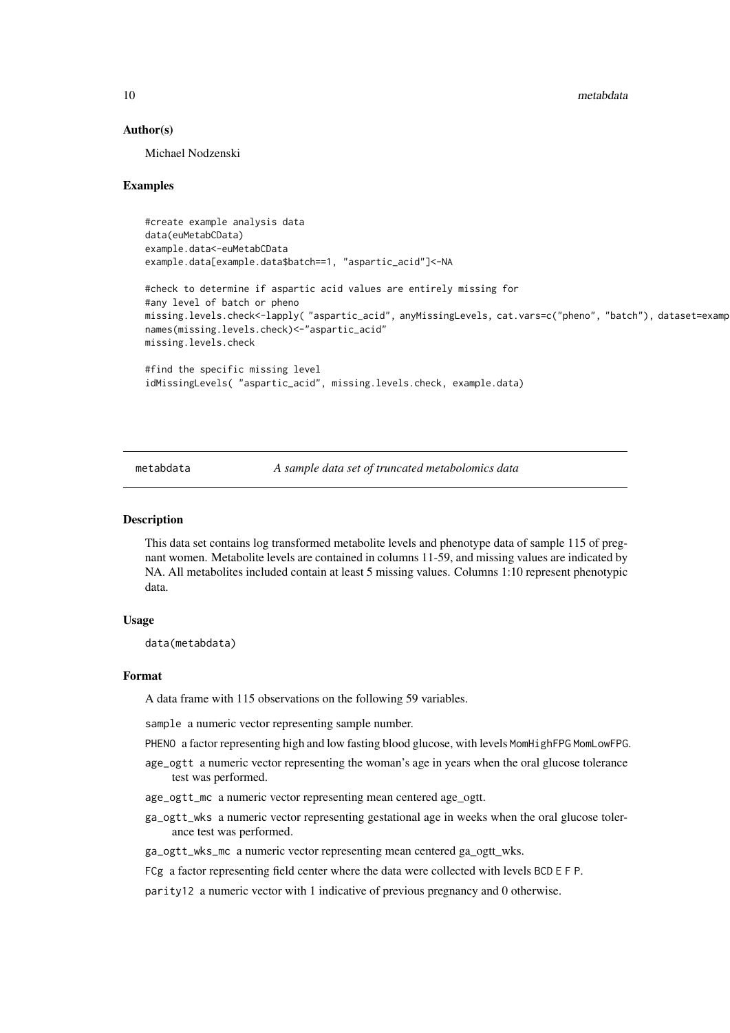<span id="page-9-0"></span>10 metabdata

#### Author(s)

Michael Nodzenski

#### Examples

```
#create example analysis data
data(euMetabCData)
example.data<-euMetabCData
example.data[example.data$batch==1, "aspartic_acid"]<-NA
#check to determine if aspartic acid values are entirely missing for
#any level of batch or pheno
missing.levels.check<-lapply( "aspartic_acid", anyMissingLevels, cat.vars=c("pheno", "batch"), dataset=examp
names(missing.levels.check)<-"aspartic_acid"
missing.levels.check
#find the specific missing level
idMissingLevels( "aspartic_acid", missing.levels.check, example.data)
```
metabdata *A sample data set of truncated metabolomics data*

#### **Description**

This data set contains log transformed metabolite levels and phenotype data of sample 115 of pregnant women. Metabolite levels are contained in columns 11-59, and missing values are indicated by NA. All metabolites included contain at least 5 missing values. Columns 1:10 represent phenotypic data.

#### Usage

data(metabdata)

#### Format

A data frame with 115 observations on the following 59 variables.

sample a numeric vector representing sample number.

- PHENO a factor representing high and low fasting blood glucose, with levels MomHighFPG MomLowFPG.
- age\_ogtt a numeric vector representing the woman's age in years when the oral glucose tolerance test was performed.
- age\_ogtt\_mc a numeric vector representing mean centered age\_ogtt.
- ga\_ogtt\_wks a numeric vector representing gestational age in weeks when the oral glucose tolerance test was performed.
- ga\_ogtt\_wks\_mc a numeric vector representing mean centered ga\_ogtt\_wks.
- FCg a factor representing field center where the data were collected with levels BCD E F P.

parity12 a numeric vector with 1 indicative of previous pregnancy and 0 otherwise.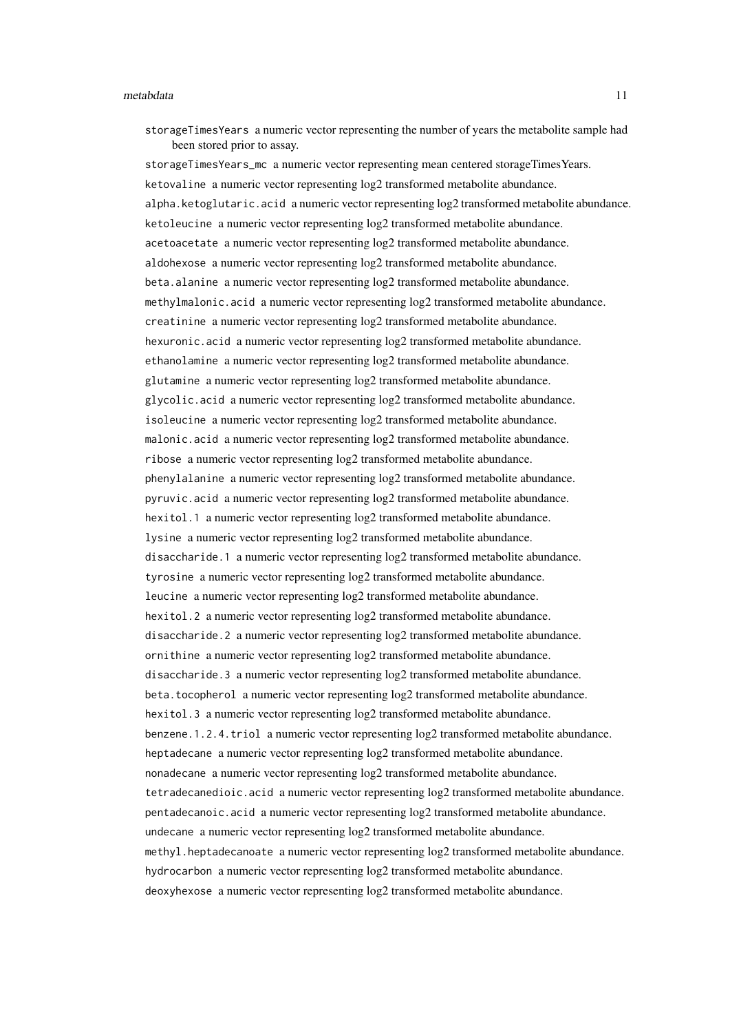#### metabdata 11

storageTimesYears a numeric vector representing the number of years the metabolite sample had been stored prior to assay.

storageTimesYears\_mc a numeric vector representing mean centered storageTimesYears. ketovaline a numeric vector representing log2 transformed metabolite abundance. alpha.ketoglutaric.acid a numeric vector representing log2 transformed metabolite abundance. ketoleucine a numeric vector representing log2 transformed metabolite abundance. acetoacetate a numeric vector representing log2 transformed metabolite abundance. aldohexose a numeric vector representing log2 transformed metabolite abundance. beta.alanine a numeric vector representing log2 transformed metabolite abundance. methylmalonic.acid a numeric vector representing log2 transformed metabolite abundance. creatinine a numeric vector representing log2 transformed metabolite abundance. hexuronic.acid a numeric vector representing log2 transformed metabolite abundance. ethanolamine a numeric vector representing log2 transformed metabolite abundance. glutamine a numeric vector representing log2 transformed metabolite abundance. glycolic.acid a numeric vector representing log2 transformed metabolite abundance. isoleucine a numeric vector representing log2 transformed metabolite abundance. malonic.acid a numeric vector representing log2 transformed metabolite abundance. ribose a numeric vector representing log2 transformed metabolite abundance. phenylalanine a numeric vector representing log2 transformed metabolite abundance. pyruvic.acid a numeric vector representing log2 transformed metabolite abundance. hexitol.1 a numeric vector representing log2 transformed metabolite abundance. lysine a numeric vector representing log2 transformed metabolite abundance. disaccharide.1 a numeric vector representing log2 transformed metabolite abundance. tyrosine a numeric vector representing log2 transformed metabolite abundance. leucine a numeric vector representing log2 transformed metabolite abundance. hexitol.2 a numeric vector representing log2 transformed metabolite abundance. disaccharide.2 a numeric vector representing log2 transformed metabolite abundance. ornithine a numeric vector representing log2 transformed metabolite abundance. disaccharide.3 a numeric vector representing log2 transformed metabolite abundance. beta.tocopherol a numeric vector representing log2 transformed metabolite abundance. hexitol.3 a numeric vector representing log2 transformed metabolite abundance. benzene.1.2.4.triol a numeric vector representing log2 transformed metabolite abundance. heptadecane a numeric vector representing log2 transformed metabolite abundance. nonadecane a numeric vector representing log2 transformed metabolite abundance. tetradecanedioic.acid a numeric vector representing log2 transformed metabolite abundance. pentadecanoic.acid a numeric vector representing log2 transformed metabolite abundance. undecane a numeric vector representing log2 transformed metabolite abundance. methyl.heptadecanoate a numeric vector representing log2 transformed metabolite abundance. hydrocarbon a numeric vector representing  $log 2$  transformed metabolite abundance. deoxyhexose a numeric vector representing log2 transformed metabolite abundance.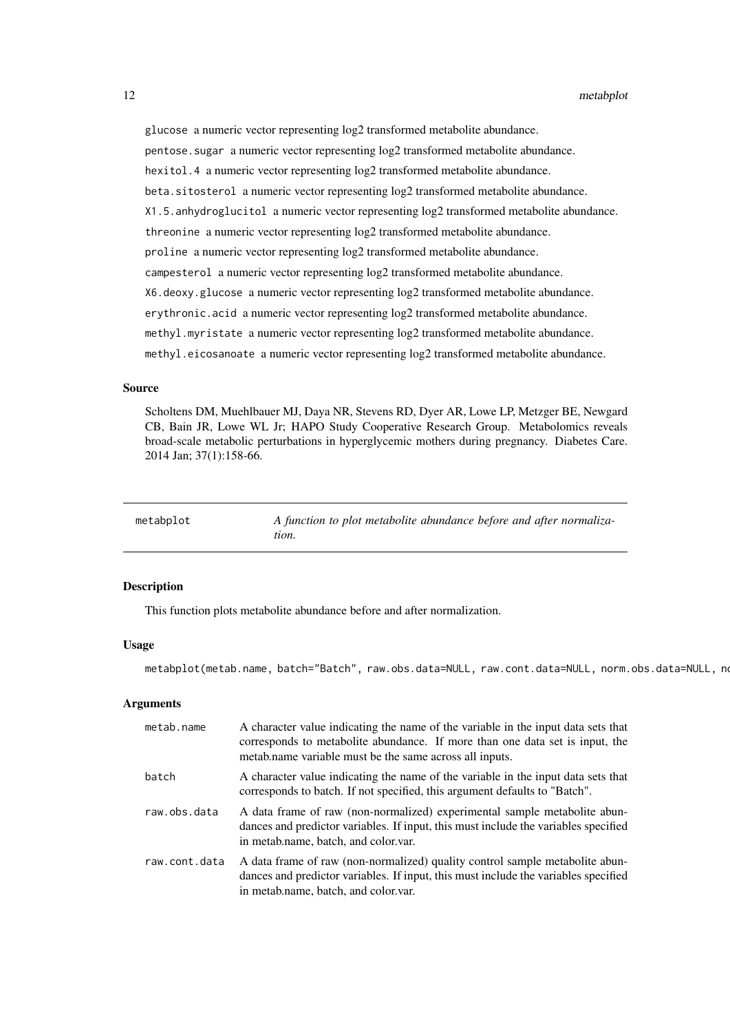<span id="page-11-0"></span>glucose a numeric vector representing log2 transformed metabolite abundance. pentose.sugar a numeric vector representing log2 transformed metabolite abundance. hexitol.4 a numeric vector representing log2 transformed metabolite abundance. beta.sitosterol a numeric vector representing log2 transformed metabolite abundance. X1.5.anhydroglucitol a numeric vector representing log2 transformed metabolite abundance. threonine a numeric vector representing log2 transformed metabolite abundance. proline a numeric vector representing log2 transformed metabolite abundance. campesterol a numeric vector representing log2 transformed metabolite abundance. X6.deoxy.glucose a numeric vector representing log2 transformed metabolite abundance. erythronic.acid a numeric vector representing log2 transformed metabolite abundance. methyl.myristate a numeric vector representing log2 transformed metabolite abundance. methyl.eicosanoate a numeric vector representing log2 transformed metabolite abundance.

#### Source

Scholtens DM, Muehlbauer MJ, Daya NR, Stevens RD, Dyer AR, Lowe LP, Metzger BE, Newgard CB, Bain JR, Lowe WL Jr; HAPO Study Cooperative Research Group. Metabolomics reveals broad-scale metabolic perturbations in hyperglycemic mothers during pregnancy. Diabetes Care. 2014 Jan; 37(1):158-66.

| metabplot | A function to plot metabolite abundance before and after normaliza- |
|-----------|---------------------------------------------------------------------|
|           | tion.                                                               |

#### Description

This function plots metabolite abundance before and after normalization.

#### Usage

metabplot(metab.name, batch="Batch", raw.obs.data=NULL, raw.cont.data=NULL, norm.obs.data=NULL, no

#### Arguments

| metab.name    | A character value indicating the name of the variable in the input data sets that<br>corresponds to metabolite abundance. If more than one data set is input, the<br>metab.name variable must be the same across all inputs. |
|---------------|------------------------------------------------------------------------------------------------------------------------------------------------------------------------------------------------------------------------------|
| batch         | A character value indicating the name of the variable in the input data sets that<br>corresponds to batch. If not specified, this argument defaults to "Batch".                                                              |
| raw.obs.data  | A data frame of raw (non-normalized) experimental sample metabolite abun-<br>dances and predictor variables. If input, this must include the variables specified<br>in metab.name, batch, and color.var.                     |
| raw.cont.data | A data frame of raw (non-normalized) quality control sample metabolite abun-<br>dances and predictor variables. If input, this must include the variables specified<br>in metab.name, batch, and color.var.                  |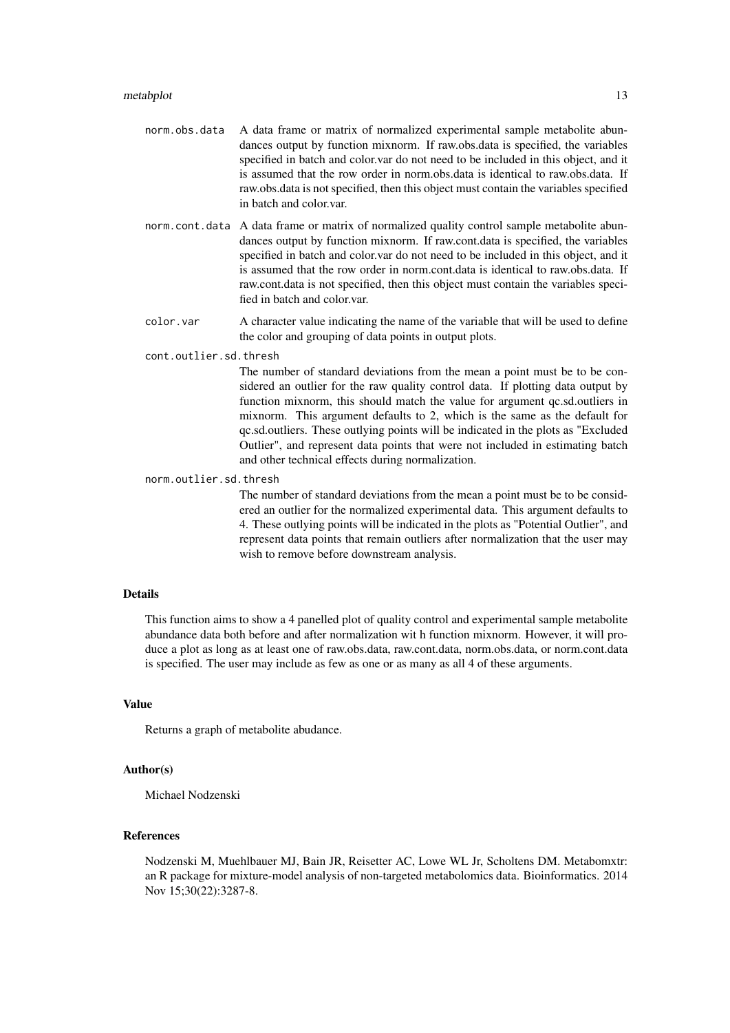- norm.obs.data A data frame or matrix of normalized experimental sample metabolite abundances output by function mixnorm. If raw.obs.data is specified, the variables specified in batch and color.var do not need to be included in this object, and it is assumed that the row order in norm.obs.data is identical to raw.obs.data. If raw.obs.data is not specified, then this object must contain the variables specified in batch and color.var.
- norm.cont.data A data frame or matrix of normalized quality control sample metabolite abundances output by function mixnorm. If raw.cont.data is specified, the variables specified in batch and color.var do not need to be included in this object, and it is assumed that the row order in norm.cont.data is identical to raw.obs.data. If raw.cont.data is not specified, then this object must contain the variables specified in batch and color.var.
- color.var A character value indicating the name of the variable that will be used to define the color and grouping of data points in output plots.

cont.outlier.sd.thresh

The number of standard deviations from the mean a point must be to be considered an outlier for the raw quality control data. If plotting data output by function mixnorm, this should match the value for argument qc.sd.outliers in mixnorm. This argument defaults to 2, which is the same as the default for qc.sd.outliers. These outlying points will be indicated in the plots as "Excluded Outlier", and represent data points that were not included in estimating batch and other technical effects during normalization.

#### norm.outlier.sd.thresh

The number of standard deviations from the mean a point must be to be considered an outlier for the normalized experimental data. This argument defaults to 4. These outlying points will be indicated in the plots as "Potential Outlier", and represent data points that remain outliers after normalization that the user may wish to remove before downstream analysis.

#### Details

This function aims to show a 4 panelled plot of quality control and experimental sample metabolite abundance data both before and after normalization wit h function mixnorm. However, it will produce a plot as long as at least one of raw.obs.data, raw.cont.data, norm.obs.data, or norm.cont.data is specified. The user may include as few as one or as many as all 4 of these arguments.

#### Value

Returns a graph of metabolite abudance.

#### Author(s)

Michael Nodzenski

#### References

Nodzenski M, Muehlbauer MJ, Bain JR, Reisetter AC, Lowe WL Jr, Scholtens DM. Metabomxtr: an R package for mixture-model analysis of non-targeted metabolomics data. Bioinformatics. 2014 Nov 15;30(22):3287-8.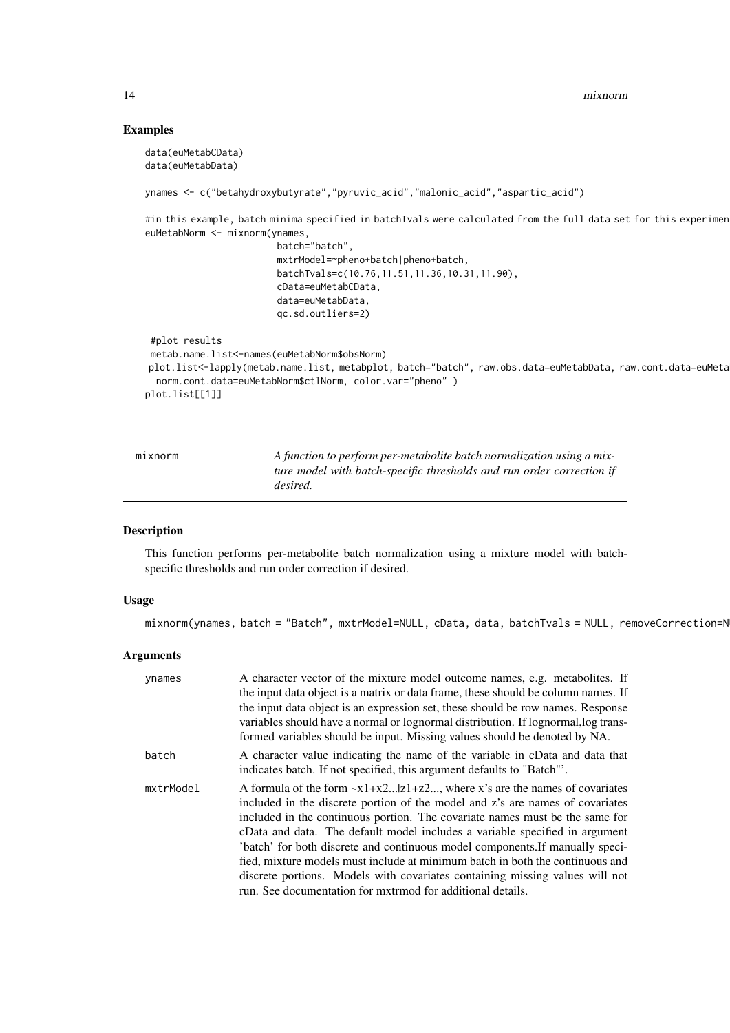14 mixnorm

#### Examples

```
data(euMetabCData)
data(euMetabData)
ynames <- c("betahydroxybutyrate","pyruvic_acid","malonic_acid","aspartic_acid")
#in this example, batch minima specified in batchTvals were calculated from the full data set for this experimen
euMetabNorm <- mixnorm(ynames,
                        batch="batch",
                        mxtrModel=~pheno+batch|pheno+batch,
                        batchTvals=c(10.76,11.51,11.36,10.31,11.90),
                        cData=euMetabCData,
                        data=euMetabData,
                        qc.sd.outliers=2)
 #plot results
metab.name.list<-names(euMetabNorm$obsNorm)
plot.list<-lapply(metab.name.list, metabplot, batch="batch", raw.obs.data=euMetabData, raw.cont.data=euMeta
  norm.cont.data=euMetabNorm$ctlNorm, color.var="pheno" )
plot.list[[1]]
```

| mixnorm | A function to perform per-metabolite batch normalization using a mix-<br>ture model with batch-specific thresholds and run order correction if |
|---------|------------------------------------------------------------------------------------------------------------------------------------------------|
|         | desired.                                                                                                                                       |

#### Description

This function performs per-metabolite batch normalization using a mixture model with batchspecific thresholds and run order correction if desired.

#### Usage

mixnorm(ynames, batch = "Batch", mxtrModel=NULL, cData, data, batchTvals = NULL, removeCorrection=N

#### Arguments

| ynames    | A character vector of the mixture model outcome names, e.g. metabolites. If<br>the input data object is a matrix or data frame, these should be column names. If<br>the input data object is an expression set, these should be row names. Response<br>variables should have a normal or lognormal distribution. If lognormal, log trans-<br>formed variables should be input. Missing values should be denoted by NA.                                                                                                                                                                                                                      |
|-----------|---------------------------------------------------------------------------------------------------------------------------------------------------------------------------------------------------------------------------------------------------------------------------------------------------------------------------------------------------------------------------------------------------------------------------------------------------------------------------------------------------------------------------------------------------------------------------------------------------------------------------------------------|
| batch     | A character value indicating the name of the variable in cData and data that<br>indicates batch. If not specified, this argument defaults to "Batch"'.                                                                                                                                                                                                                                                                                                                                                                                                                                                                                      |
| mxtrModel | A formula of the form $-x1+x2z1+z2$ , where x's are the names of covariates<br>included in the discrete portion of the model and z's are names of covariates<br>included in the continuous portion. The covariate names must be the same for<br>cData and data. The default model includes a variable specified in argument<br>'batch' for both discrete and continuous model components. If manually speci-<br>fied, mixture models must include at minimum batch in both the continuous and<br>discrete portions. Models with covariates containing missing values will not<br>run. See documentation for mxtrmod for additional details. |

<span id="page-13-0"></span>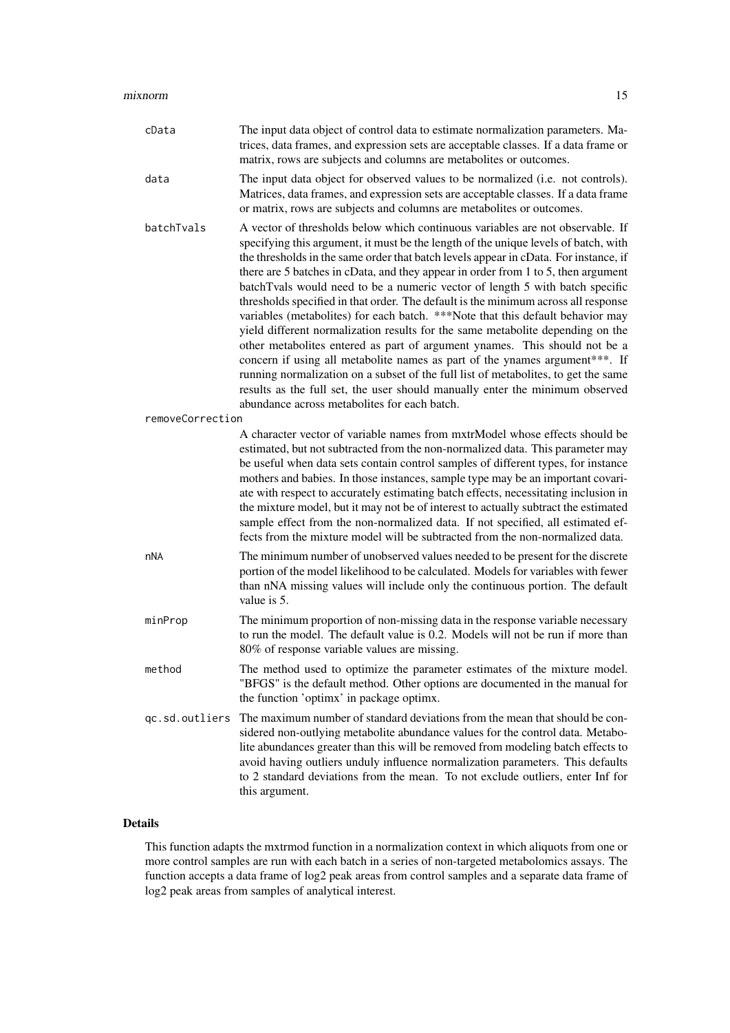| cData            | The input data object of control data to estimate normalization parameters. Ma-<br>trices, data frames, and expression sets are acceptable classes. If a data frame or<br>matrix, rows are subjects and columns are metabolites or outcomes.                                                                                                                                                                                                                                                                                                                                                                                                                                                                                                                                                                                                                                                                                                                                                                                                                                    |
|------------------|---------------------------------------------------------------------------------------------------------------------------------------------------------------------------------------------------------------------------------------------------------------------------------------------------------------------------------------------------------------------------------------------------------------------------------------------------------------------------------------------------------------------------------------------------------------------------------------------------------------------------------------------------------------------------------------------------------------------------------------------------------------------------------------------------------------------------------------------------------------------------------------------------------------------------------------------------------------------------------------------------------------------------------------------------------------------------------|
| data             | The input data object for observed values to be normalized (i.e. not controls).<br>Matrices, data frames, and expression sets are acceptable classes. If a data frame<br>or matrix, rows are subjects and columns are metabolites or outcomes.                                                                                                                                                                                                                                                                                                                                                                                                                                                                                                                                                                                                                                                                                                                                                                                                                                  |
| batchTvals       | A vector of thresholds below which continuous variables are not observable. If<br>specifying this argument, it must be the length of the unique levels of batch, with<br>the thresholds in the same order that batch levels appear in cData. For instance, if<br>there are 5 batches in cData, and they appear in order from 1 to 5, then argument<br>batchTvals would need to be a numeric vector of length 5 with batch specific<br>thresholds specified in that order. The default is the minimum across all response<br>variables (metabolites) for each batch. ***Note that this default behavior may<br>yield different normalization results for the same metabolite depending on the<br>other metabolites entered as part of argument ynames. This should not be a<br>concern if using all metabolite names as part of the ynames argument***. If<br>running normalization on a subset of the full list of metabolites, to get the same<br>results as the full set, the user should manually enter the minimum observed<br>abundance across metabolites for each batch. |
| removeCorrection |                                                                                                                                                                                                                                                                                                                                                                                                                                                                                                                                                                                                                                                                                                                                                                                                                                                                                                                                                                                                                                                                                 |
|                  | A character vector of variable names from mxtrModel whose effects should be<br>estimated, but not subtracted from the non-normalized data. This parameter may<br>be useful when data sets contain control samples of different types, for instance<br>mothers and babies. In those instances, sample type may be an important covari-<br>ate with respect to accurately estimating batch effects, necessitating inclusion in<br>the mixture model, but it may not be of interest to actually subtract the estimated<br>sample effect from the non-normalized data. If not specified, all estimated ef-<br>fects from the mixture model will be subtracted from the non-normalized data.                                                                                                                                                                                                                                                                                                                                                                                         |
| nNA              | The minimum number of unobserved values needed to be present for the discrete<br>portion of the model likelihood to be calculated. Models for variables with fewer<br>than nNA missing values will include only the continuous portion. The default<br>value is 5.                                                                                                                                                                                                                                                                                                                                                                                                                                                                                                                                                                                                                                                                                                                                                                                                              |
| minProp          | The minimum proportion of non-missing data in the response variable necessary<br>to run the model. The default value is 0.2. Models will not be run if more than<br>80% of response variable values are missing.                                                                                                                                                                                                                                                                                                                                                                                                                                                                                                                                                                                                                                                                                                                                                                                                                                                                |
| method           | The method used to optimize the parameter estimates of the mixture model.<br>"BFGS" is the default method. Other options are documented in the manual for<br>the function 'optimx' in package optimx.                                                                                                                                                                                                                                                                                                                                                                                                                                                                                                                                                                                                                                                                                                                                                                                                                                                                           |
| gc.sd.outliers   | The maximum number of standard deviations from the mean that should be con-<br>sidered non-outlying metabolite abundance values for the control data. Metabo-<br>lite abundances greater than this will be removed from modeling batch effects to<br>avoid having outliers unduly influence normalization parameters. This defaults<br>to 2 standard deviations from the mean. To not exclude outliers, enter Inf for<br>this argument.                                                                                                                                                                                                                                                                                                                                                                                                                                                                                                                                                                                                                                         |

#### Details

This function adapts the mxtrmod function in a normalization context in which aliquots from one or more control samples are run with each batch in a series of non-targeted metabolomics assays. The function accepts a data frame of log2 peak areas from control samples and a separate data frame of log2 peak areas from samples of analytical interest.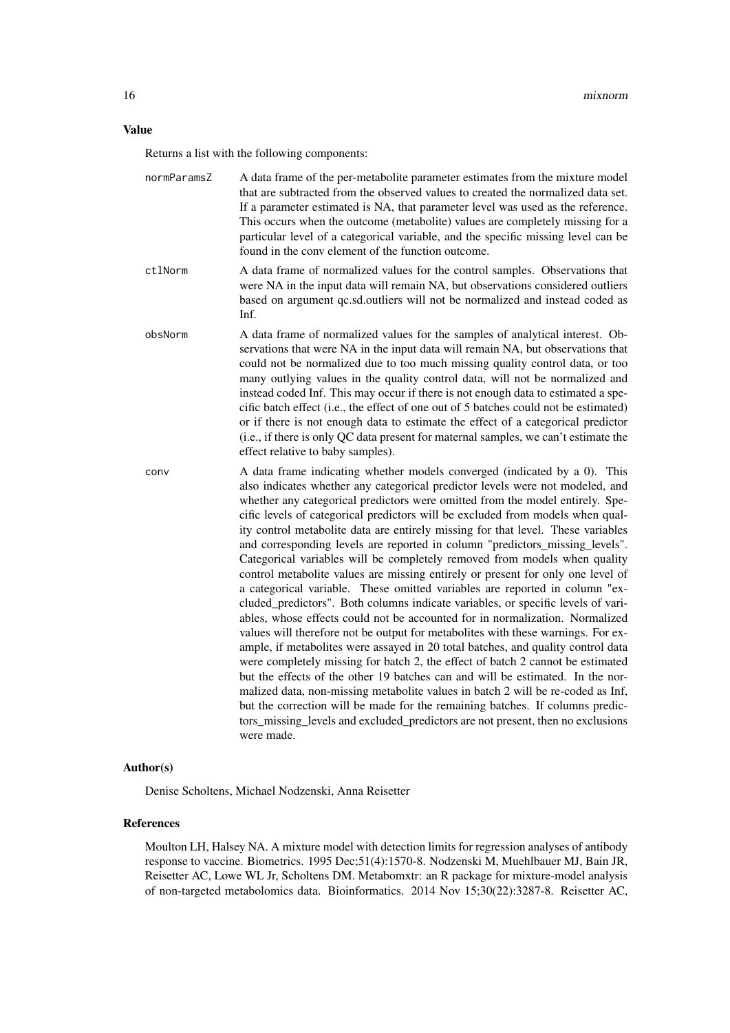#### Value

Returns a list with the following components:

| normParamsZ | A data frame of the per-metabolite parameter estimates from the mixture model                                                                                  |
|-------------|----------------------------------------------------------------------------------------------------------------------------------------------------------------|
|             | that are subtracted from the observed values to created the normalized data set.                                                                               |
|             | If a parameter estimated is NA, that parameter level was used as the reference.                                                                                |
|             | This occurs when the outcome (metabolite) values are completely missing for a                                                                                  |
|             | particular level of a categorical variable, and the specific missing level can be                                                                              |
|             | found in the conv element of the function outcome.                                                                                                             |
| ctlNorm     | A data frame of normalized values for the control samples. Observations that<br>were NA in the input data will remain NA, but observations considered outliers |
|             | based on argument qc.sd.outliers will not be normalized and instead coded as                                                                                   |
|             | Inf.                                                                                                                                                           |

- obsNorm A data frame of normalized values for the samples of analytical interest. Observations that were NA in the input data will remain NA, but observations that could not be normalized due to too much missing quality control data, or too many outlying values in the quality control data, will not be normalized and instead coded Inf. This may occur if there is not enough data to estimated a specific batch effect (i.e., the effect of one out of 5 batches could not be estimated) or if there is not enough data to estimate the effect of a categorical predictor (i.e., if there is only QC data present for maternal samples, we can't estimate the effect relative to baby samples).
- conv A data frame indicating whether models converged (indicated by a 0). This also indicates whether any categorical predictor levels were not modeled, and whether any categorical predictors were omitted from the model entirely. Specific levels of categorical predictors will be excluded from models when quality control metabolite data are entirely missing for that level. These variables and corresponding levels are reported in column "predictors missing levels". Categorical variables will be completely removed from models when quality control metabolite values are missing entirely or present for only one level of a categorical variable. These omitted variables are reported in column "excluded\_predictors". Both columns indicate variables, or specific levels of variables, whose effects could not be accounted for in normalization. Normalized values will therefore not be output for metabolites with these warnings. For example, if metabolites were assayed in 20 total batches, and quality control data were completely missing for batch 2, the effect of batch 2 cannot be estimated but the effects of the other 19 batches can and will be estimated. In the normalized data, non-missing metabolite values in batch 2 will be re-coded as Inf, but the correction will be made for the remaining batches. If columns predictors\_missing\_levels and excluded\_predictors are not present, then no exclusions were made.

#### Author(s)

Denise Scholtens, Michael Nodzenski, Anna Reisetter

#### References

Moulton LH, Halsey NA. A mixture model with detection limits for regression analyses of antibody response to vaccine. Biometrics. 1995 Dec;51(4):1570-8. Nodzenski M, Muehlbauer MJ, Bain JR, Reisetter AC, Lowe WL Jr, Scholtens DM. Metabomxtr: an R package for mixture-model analysis of non-targeted metabolomics data. Bioinformatics. 2014 Nov 15;30(22):3287-8. Reisetter AC,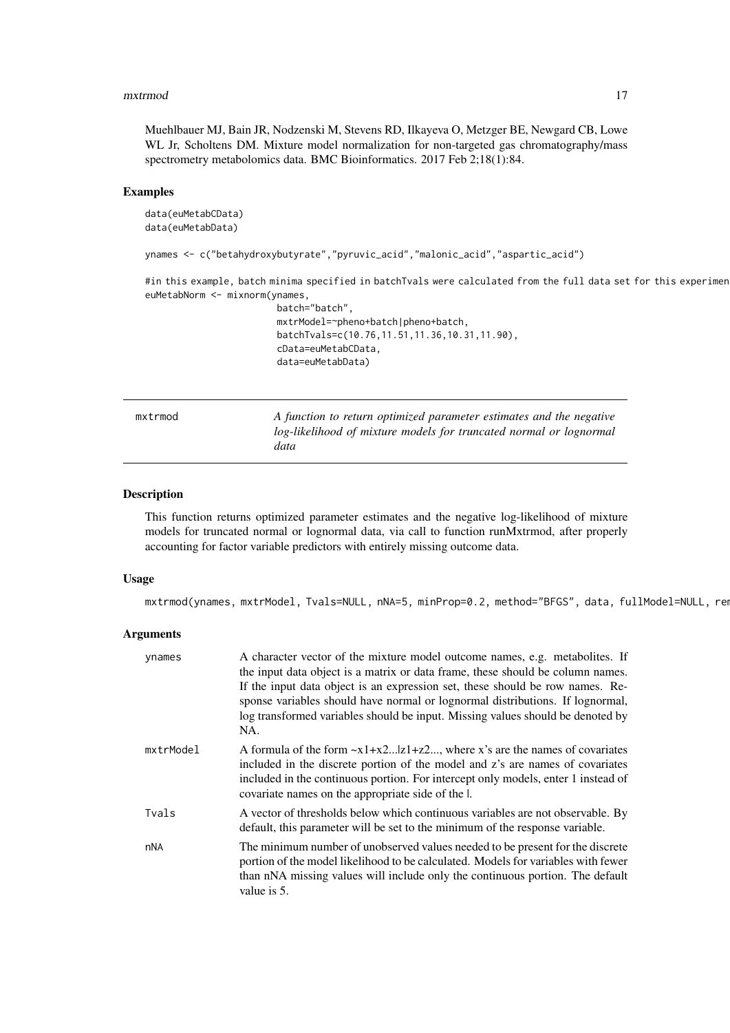#### <span id="page-16-0"></span>mxtrmod and the contract of the contract of the contract of the contract of the contract of the contract of the contract of the contract of the contract of the contract of the contract of the contract of the contract of th

Muehlbauer MJ, Bain JR, Nodzenski M, Stevens RD, Ilkayeva O, Metzger BE, Newgard CB, Lowe WL Jr, Scholtens DM. Mixture model normalization for non-targeted gas chromatography/mass spectrometry metabolomics data. BMC Bioinformatics. 2017 Feb 2;18(1):84.

#### Examples

```
data(euMetabCData)
 data(euMetabData)
 ynames <- c("betahydroxybutyrate","pyruvic_acid","malonic_acid","aspartic_acid")
 #in this example, batch minima specified in batchTvals were calculated from the full data set for this experimen
 euMetabNorm <- mixnorm(ynames,
                         batch="batch",
                         mxtrModel=~pheno+batch|pheno+batch,
                         batchTvals=c(10.76,11.51,11.36,10.31,11.90),
                         cData=euMetabCData,
                         data=euMetabData)
mxtrmod A function to return optimized parameter estimates and the negative
                         log-likelihood of mixture models for truncated normal or lognormal
                         data
```
#### Description

This function returns optimized parameter estimates and the negative log-likelihood of mixture models for truncated normal or lognormal data, via call to function runMxtrmod, after properly accounting for factor variable predictors with entirely missing outcome data.

#### Usage

mxtrmod(ynames, mxtrModel, Tvals=NULL, nNA=5, minProp=0.2, method="BFGS", data, fullModel=NULL, rem

#### Arguments

| ynames    | A character vector of the mixture model outcome names, e.g. metabolites. If<br>the input data object is a matrix or data frame, these should be column names.<br>If the input data object is an expression set, these should be row names. Re-<br>sponse variables should have normal or lognormal distributions. If lognormal,<br>log transformed variables should be input. Missing values should be denoted by<br>NA. |
|-----------|--------------------------------------------------------------------------------------------------------------------------------------------------------------------------------------------------------------------------------------------------------------------------------------------------------------------------------------------------------------------------------------------------------------------------|
| mxtrModel | A formula of the form $-x1+x2z1+z2$ , where x's are the names of covariates<br>included in the discrete portion of the model and z's are names of covariates<br>included in the continuous portion. For intercept only models, enter 1 instead of<br>covariate names on the appropriate side of the l.                                                                                                                   |
| Tvals     | A vector of thresholds below which continuous variables are not observable. By<br>default, this parameter will be set to the minimum of the response variable.                                                                                                                                                                                                                                                           |
| nNA       | The minimum number of unobserved values needed to be present for the discrete<br>portion of the model likelihood to be calculated. Models for variables with fewer<br>than nNA missing values will include only the continuous portion. The default<br>value is 5.                                                                                                                                                       |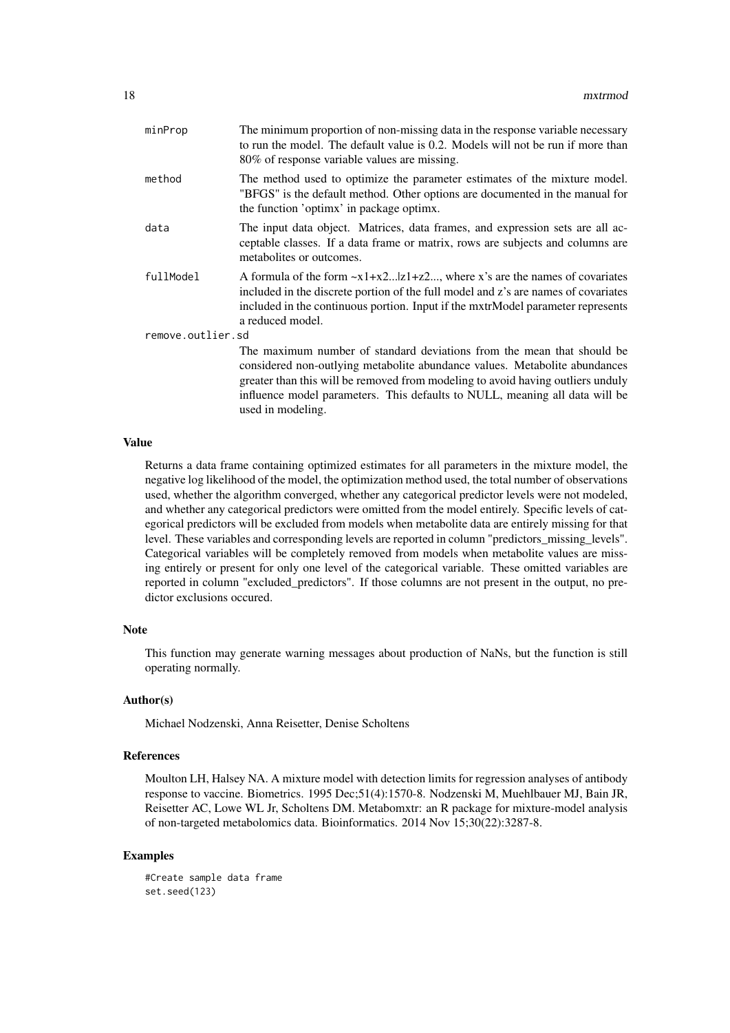| minProp           | The minimum proportion of non-missing data in the response variable necessary<br>to run the model. The default value is 0.2. Models will not be run if more than<br>80% of response variable values are missing.                                                                                                                            |
|-------------------|---------------------------------------------------------------------------------------------------------------------------------------------------------------------------------------------------------------------------------------------------------------------------------------------------------------------------------------------|
| method            | The method used to optimize the parameter estimates of the mixture model.<br>"BFGS" is the default method. Other options are documented in the manual for<br>the function 'optimx' in package optimx.                                                                                                                                       |
| data              | The input data object. Matrices, data frames, and expression sets are all ac-<br>ceptable classes. If a data frame or matrix, rows are subjects and columns are<br>metabolites or outcomes.                                                                                                                                                 |
| fullModel         | A formula of the form $\sim x1+x2 z1+z2$ , where x's are the names of covariates<br>included in the discrete portion of the full model and z's are names of covariates<br>included in the continuous portion. Input if the mxtrModel parameter represents<br>a reduced model.                                                               |
| remove.outlier.sd |                                                                                                                                                                                                                                                                                                                                             |
|                   | The maximum number of standard deviations from the mean that should be<br>considered non-outlying metabolite abundance values. Metabolite abundances<br>greater than this will be removed from modeling to avoid having outliers unduly<br>influence model parameters. This defaults to NULL, meaning all data will be<br>used in modeling. |

#### Value

Returns a data frame containing optimized estimates for all parameters in the mixture model, the negative log likelihood of the model, the optimization method used, the total number of observations used, whether the algorithm converged, whether any categorical predictor levels were not modeled, and whether any categorical predictors were omitted from the model entirely. Specific levels of categorical predictors will be excluded from models when metabolite data are entirely missing for that level. These variables and corresponding levels are reported in column "predictors\_missing\_levels". Categorical variables will be completely removed from models when metabolite values are missing entirely or present for only one level of the categorical variable. These omitted variables are reported in column "excluded\_predictors". If those columns are not present in the output, no predictor exclusions occured.

#### Note

This function may generate warning messages about production of NaNs, but the function is still operating normally.

#### Author(s)

Michael Nodzenski, Anna Reisetter, Denise Scholtens

#### References

Moulton LH, Halsey NA. A mixture model with detection limits for regression analyses of antibody response to vaccine. Biometrics. 1995 Dec;51(4):1570-8. Nodzenski M, Muehlbauer MJ, Bain JR, Reisetter AC, Lowe WL Jr, Scholtens DM. Metabomxtr: an R package for mixture-model analysis of non-targeted metabolomics data. Bioinformatics. 2014 Nov 15;30(22):3287-8.

#### Examples

```
#Create sample data frame
set.seed(123)
```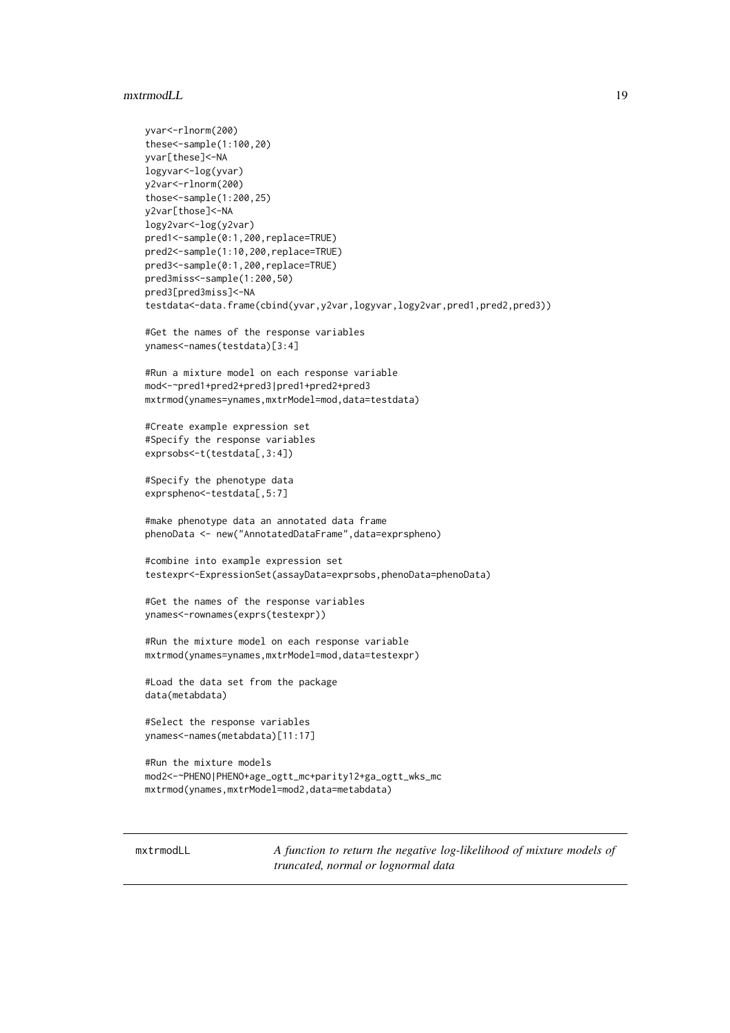#### <span id="page-18-0"></span>mxtrmodLL 19

```
yvar<-rlnorm(200)
these<-sample(1:100,20)
yvar[these]<-NA
logyvar<-log(yvar)
y2var<-rlnorm(200)
those<-sample(1:200,25)
y2var[those]<-NA
logy2var<-log(y2var)
pred1<-sample(0:1,200,replace=TRUE)
pred2<-sample(1:10,200,replace=TRUE)
pred3<-sample(0:1,200,replace=TRUE)
pred3miss<-sample(1:200,50)
pred3[pred3miss]<-NA
testdata<-data.frame(cbind(yvar,y2var,logyvar,logy2var,pred1,pred2,pred3))
#Get the names of the response variables
ynames<-names(testdata)[3:4]
#Run a mixture model on each response variable
mod<-~pred1+pred2+pred3|pred1+pred2+pred3
mxtrmod(ynames=ynames,mxtrModel=mod,data=testdata)
#Create example expression set
#Specify the response variables
exprsobs<-t(testdata[,3:4])
#Specify the phenotype data
exprspheno<-testdata[,5:7]
#make phenotype data an annotated data frame
phenoData <- new("AnnotatedDataFrame",data=exprspheno)
#combine into example expression set
testexpr<-ExpressionSet(assayData=exprsobs,phenoData=phenoData)
#Get the names of the response variables
ynames<-rownames(exprs(testexpr))
#Run the mixture model on each response variable
mxtrmod(ynames=ynames,mxtrModel=mod,data=testexpr)
#Load the data set from the package
data(metabdata)
#Select the response variables
ynames<-names(metabdata)[11:17]
#Run the mixture models
mod2<-~PHENO|PHENO+age_ogtt_mc+parity12+ga_ogtt_wks_mc
mxtrmod(ynames,mxtrModel=mod2,data=metabdata)
```
mxtrmodLL *A function to return the negative log-likelihood of mixture models of truncated, normal or lognormal data*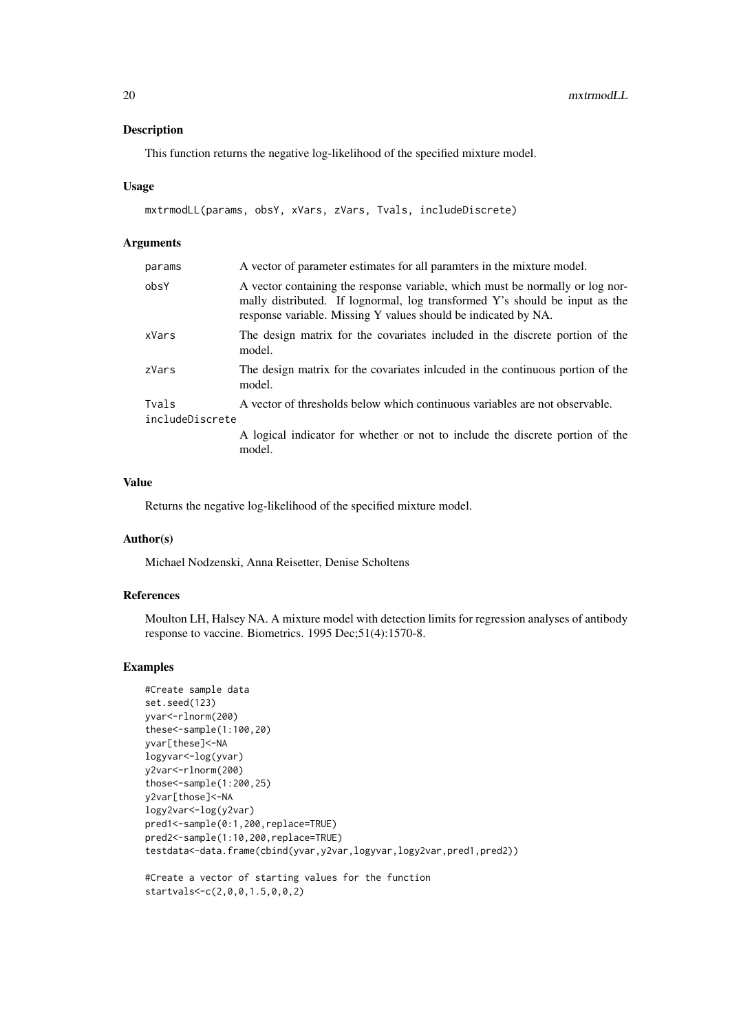This function returns the negative log-likelihood of the specified mixture model.

#### Usage

```
mxtrmodLL(params, obsY, xVars, zVars, Tvals, includeDiscrete)
```
#### Arguments

| params                   | A vector of parameter estimates for all paramters in the mixture model.                                                                                                                                                        |
|--------------------------|--------------------------------------------------------------------------------------------------------------------------------------------------------------------------------------------------------------------------------|
| obsY                     | A vector containing the response variable, which must be normally or log nor-<br>mally distributed. If lognormal, log transformed Y's should be input as the<br>response variable. Missing Y values should be indicated by NA. |
| xVars                    | The design matrix for the covariates included in the discrete portion of the<br>model.                                                                                                                                         |
| zVars                    | The design matrix for the covariates included in the continuous portion of the<br>model.                                                                                                                                       |
| Tvals<br>includeDiscrete | A vector of thresholds below which continuous variables are not observable.                                                                                                                                                    |
|                          | A logical indicator for whether or not to include the discrete portion of the<br>model.                                                                                                                                        |

#### Value

Returns the negative log-likelihood of the specified mixture model.

#### Author(s)

Michael Nodzenski, Anna Reisetter, Denise Scholtens

#### References

Moulton LH, Halsey NA. A mixture model with detection limits for regression analyses of antibody response to vaccine. Biometrics. 1995 Dec;51(4):1570-8.

#### Examples

```
#Create sample data
set.seed(123)
yvar<-rlnorm(200)
these<-sample(1:100,20)
yvar[these]<-NA
logyvar<-log(yvar)
y2var<-rlnorm(200)
those<-sample(1:200,25)
y2var[those]<-NA
logy2var<-log(y2var)
pred1<-sample(0:1,200,replace=TRUE)
pred2<-sample(1:10,200,replace=TRUE)
testdata<-data.frame(cbind(yvar,y2var,logyvar,logy2var,pred1,pred2))
#Create a vector of starting values for the function
```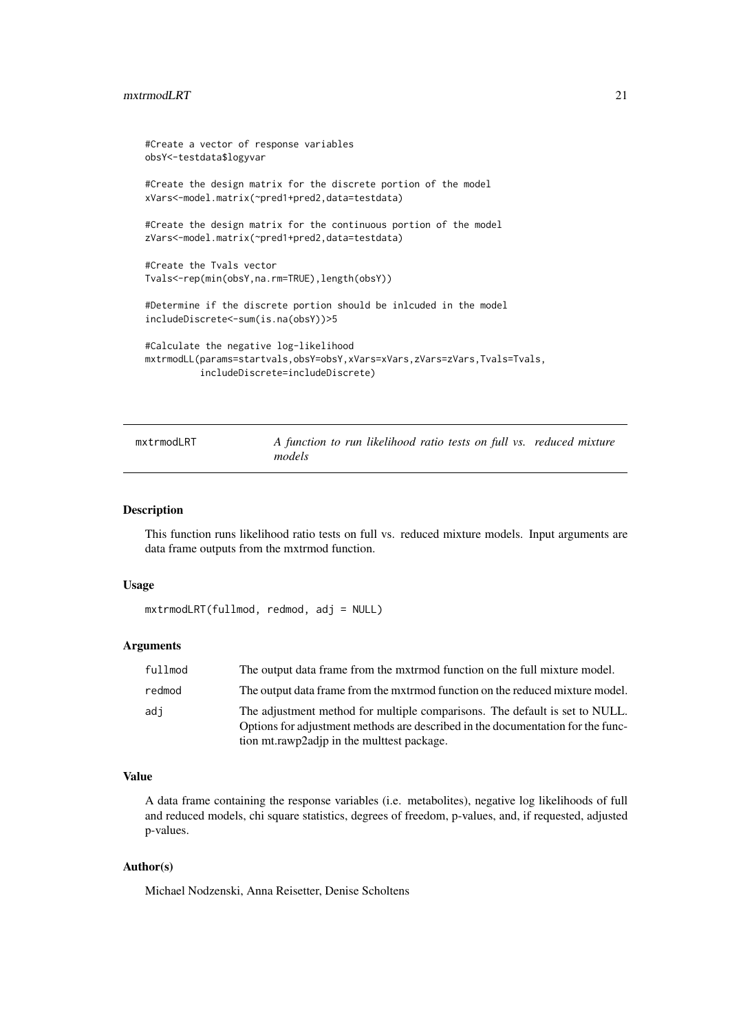```
#Create a vector of response variables
obsY<-testdata$logyvar
#Create the design matrix for the discrete portion of the model
xVars<-model.matrix(~pred1+pred2,data=testdata)
#Create the design matrix for the continuous portion of the model
zVars<-model.matrix(~pred1+pred2,data=testdata)
#Create the Tvals vector
Tvals<-rep(min(obsY,na.rm=TRUE),length(obsY))
#Determine if the discrete portion should be inlcuded in the model
includeDiscrete<-sum(is.na(obsY))>5
#Calculate the negative log-likelihood
mxtrmodLL(params=startvals,obsY=obsY,xVars=xVars,zVars=zVars,Tvals=Tvals,
          includeDiscrete=includeDiscrete)
```
mxtrmodLRT A function to run likelihood ratio tests on full vs. reduced mixture *models*

#### Description

This function runs likelihood ratio tests on full vs. reduced mixture models. Input arguments are data frame outputs from the mxtrmod function.

#### Usage

```
mxtrmodLRT(fullmod, redmod, adj = NULL)
```
#### Arguments

| fullmod | The output data frame from the mxtrmod function on the full mixture model.                                                                                                                                   |
|---------|--------------------------------------------------------------------------------------------------------------------------------------------------------------------------------------------------------------|
| redmod  | The output data frame from the mxtrmod function on the reduced mixture model.                                                                                                                                |
| adi     | The adjustment method for multiple comparisons. The default is set to NULL.<br>Options for adjustment methods are described in the documentation for the func-<br>tion mt.rawp2adjp in the multtest package. |

#### Value

A data frame containing the response variables (i.e. metabolites), negative log likelihoods of full and reduced models, chi square statistics, degrees of freedom, p-values, and, if requested, adjusted p-values.

#### Author(s)

Michael Nodzenski, Anna Reisetter, Denise Scholtens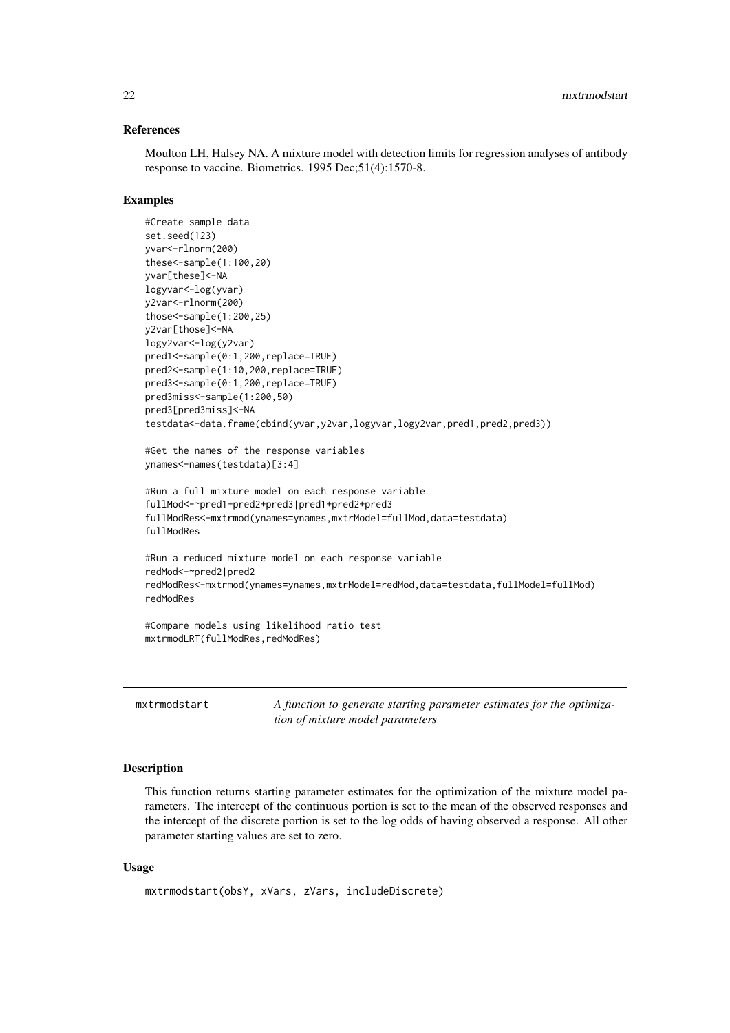#### <span id="page-21-0"></span>References

Moulton LH, Halsey NA. A mixture model with detection limits for regression analyses of antibody response to vaccine. Biometrics. 1995 Dec;51(4):1570-8.

#### Examples

```
#Create sample data
set.seed(123)
yvar<-rlnorm(200)
these<-sample(1:100,20)
yvar[these]<-NA
logyvar<-log(yvar)
y2var<-rlnorm(200)
those<-sample(1:200,25)
y2var[those]<-NA
logy2var<-log(y2var)
pred1<-sample(0:1,200,replace=TRUE)
pred2<-sample(1:10,200,replace=TRUE)
pred3<-sample(0:1,200,replace=TRUE)
pred3miss<-sample(1:200,50)
pred3[pred3miss]<-NA
testdata<-data.frame(cbind(yvar,y2var,logyvar,logy2var,pred1,pred2,pred3))
#Get the names of the response variables
ynames<-names(testdata)[3:4]
#Run a full mixture model on each response variable
fullMod<-~pred1+pred2+pred3|pred1+pred2+pred3
fullModRes<-mxtrmod(ynames=ynames,mxtrModel=fullMod,data=testdata)
fullModRes
#Run a reduced mixture model on each response variable
redMod<-~pred2|pred2
redModRes<-mxtrmod(ynames=ynames,mxtrModel=redMod,data=testdata,fullModel=fullMod)
redModRes
#Compare models using likelihood ratio test
mxtrmodLRT(fullModRes,redModRes)
```

| mxtrmodstart | A function to generate starting parameter estimates for the optimiza- |
|--------------|-----------------------------------------------------------------------|
|              | tion of mixture model parameters                                      |

#### Description

This function returns starting parameter estimates for the optimization of the mixture model parameters. The intercept of the continuous portion is set to the mean of the observed responses and the intercept of the discrete portion is set to the log odds of having observed a response. All other parameter starting values are set to zero.

#### Usage

```
mxtrmodstart(obsY, xVars, zVars, includeDiscrete)
```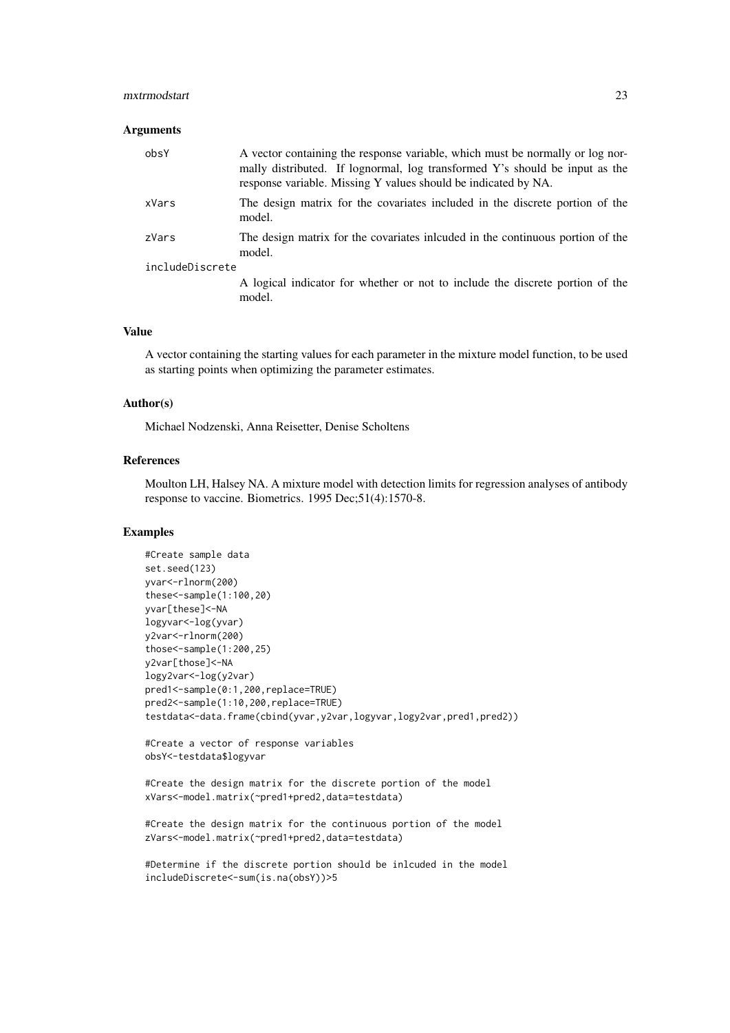#### mxtrmodstart 23

#### Arguments

| obsY            | A vector containing the response variable, which must be normally or log nor-<br>mally distributed. If lognormal, log transformed Y's should be input as the<br>response variable. Missing Y values should be indicated by NA. |
|-----------------|--------------------------------------------------------------------------------------------------------------------------------------------------------------------------------------------------------------------------------|
| xVars           | The design matrix for the covariates included in the discrete portion of the<br>model.                                                                                                                                         |
| zVars           | The design matrix for the covariates included in the continuous portion of the<br>model.                                                                                                                                       |
| includeDiscrete |                                                                                                                                                                                                                                |
|                 | A logical indicator for whether or not to include the discrete portion of the<br>model.                                                                                                                                        |

#### Value

A vector containing the starting values for each parameter in the mixture model function, to be used as starting points when optimizing the parameter estimates.

#### Author(s)

Michael Nodzenski, Anna Reisetter, Denise Scholtens

#### References

Moulton LH, Halsey NA. A mixture model with detection limits for regression analyses of antibody response to vaccine. Biometrics. 1995 Dec;51(4):1570-8.

#### Examples

```
#Create sample data
set.seed(123)
yvar<-rlnorm(200)
these<-sample(1:100,20)
yvar[these]<-NA
logyvar<-log(yvar)
y2var<-rlnorm(200)
those<-sample(1:200,25)
y2var[those]<-NA
logy2var<-log(y2var)
pred1<-sample(0:1,200,replace=TRUE)
pred2<-sample(1:10,200,replace=TRUE)
testdata<-data.frame(cbind(yvar,y2var,logyvar,logy2var,pred1,pred2))
```

```
#Create a vector of response variables
obsY<-testdata$logyvar
```

```
#Create the design matrix for the discrete portion of the model
xVars<-model.matrix(~pred1+pred2,data=testdata)
```

```
#Create the design matrix for the continuous portion of the model
zVars<-model.matrix(~pred1+pred2,data=testdata)
```
#Determine if the discrete portion should be inlcuded in the model includeDiscrete<-sum(is.na(obsY))>5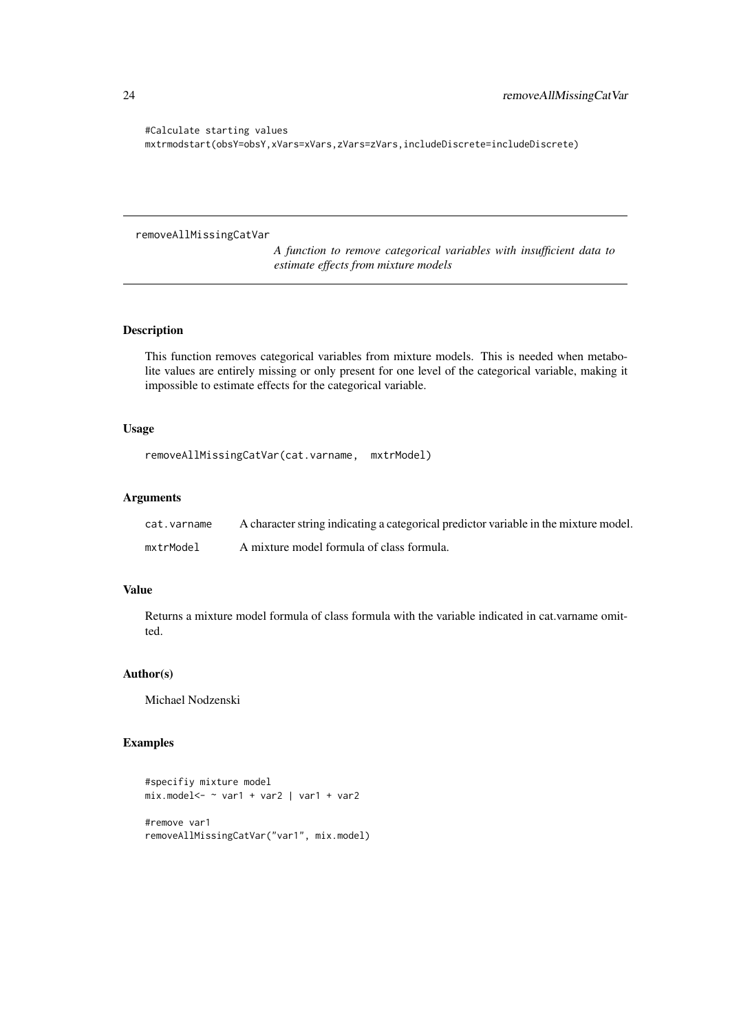#Calculate starting values mxtrmodstart(obsY=obsY,xVars=xVars,zVars=zVars,includeDiscrete=includeDiscrete)

```
removeAllMissingCatVar
```
*A function to remove categorical variables with insufficient data to estimate effects from mixture models*

#### Description

This function removes categorical variables from mixture models. This is needed when metabolite values are entirely missing or only present for one level of the categorical variable, making it impossible to estimate effects for the categorical variable.

#### Usage

```
removeAllMissingCatVar(cat.varname, mxtrModel)
```
#### Arguments

| cat.varname | A character string indicating a categorical predictor variable in the mixture model. |
|-------------|--------------------------------------------------------------------------------------|
| mxtrModel   | A mixture model formula of class formula.                                            |

## Value

Returns a mixture model formula of class formula with the variable indicated in cat.varname omitted.

#### Author(s)

Michael Nodzenski

#### Examples

```
#specifiy mixture model
mix.model<- ~ var1 + var2 | var1 + var2
#remove var1
removeAllMissingCatVar("var1", mix.model)
```
<span id="page-23-0"></span>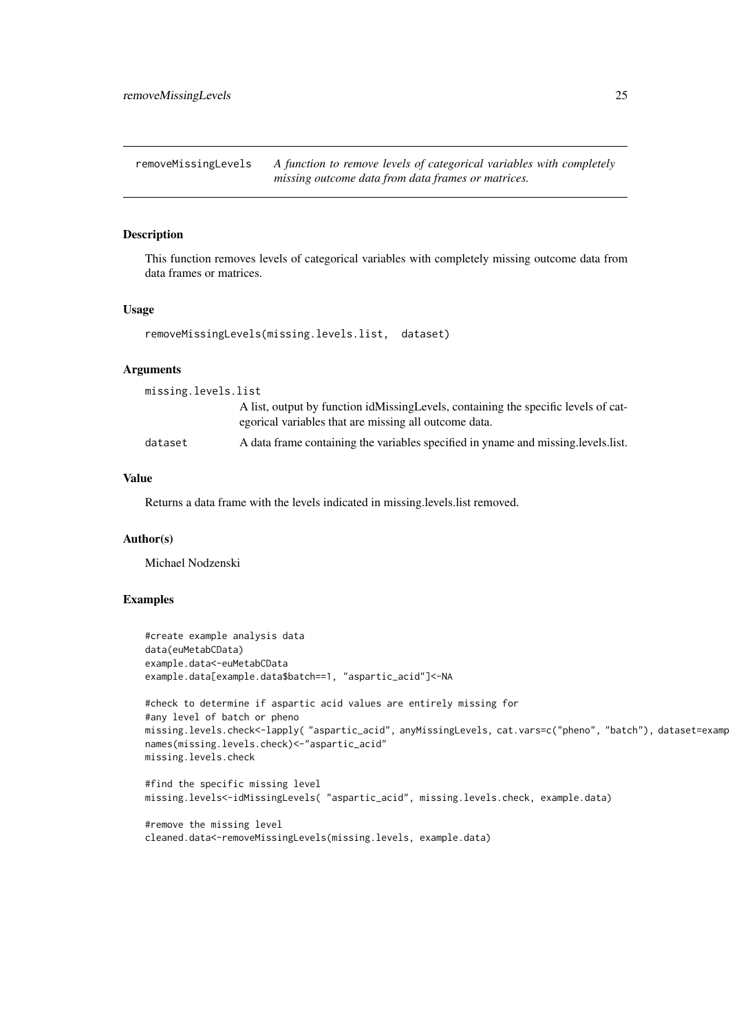<span id="page-24-0"></span>removeMissingLevels *A function to remove levels of categorical variables with completely missing outcome data from data frames or matrices.*

#### Description

This function removes levels of categorical variables with completely missing outcome data from data frames or matrices.

#### Usage

```
removeMissingLevels(missing.levels.list, dataset)
```
#### Arguments

| missing.levels.list |                                                                                                                                             |
|---------------------|---------------------------------------------------------------------------------------------------------------------------------------------|
|                     | A list, output by function idMissingLevels, containing the specific levels of cat-<br>egorical variables that are missing all outcome data. |
| dataset             | A data frame containing the variables specified in yname and missing levels list.                                                           |

#### Value

Returns a data frame with the levels indicated in missing.levels.list removed.

#### Author(s)

Michael Nodzenski

#### Examples

```
#create example analysis data
data(euMetabCData)
example.data<-euMetabCData
example.data[example.data$batch==1, "aspartic_acid"]<-NA
#check to determine if aspartic acid values are entirely missing for
#any level of batch or pheno
missing.levels.check<-lapply( "aspartic_acid", anyMissingLevels, cat.vars=c("pheno", "batch"), dataset=examp
names(missing.levels.check)<-"aspartic_acid"
missing.levels.check
#find the specific missing level
missing.levels<-idMissingLevels( "aspartic_acid", missing.levels.check, example.data)
```
#remove the missing level cleaned.data<-removeMissingLevels(missing.levels, example.data)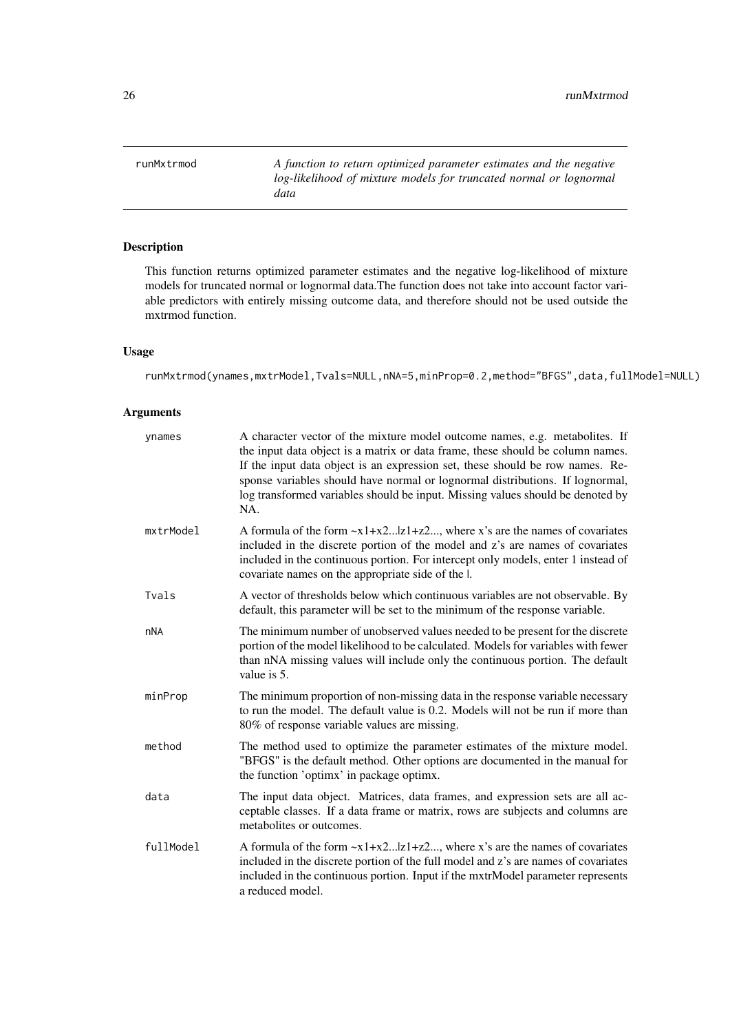<span id="page-25-0"></span>runMxtrmod *A function to return optimized parameter estimates and the negative log-likelihood of mixture models for truncated normal or lognormal data*

#### Description

This function returns optimized parameter estimates and the negative log-likelihood of mixture models for truncated normal or lognormal data.The function does not take into account factor variable predictors with entirely missing outcome data, and therefore should not be used outside the mxtrmod function.

#### Usage

runMxtrmod(ynames,mxtrModel,Tvals=NULL,nNA=5,minProp=0.2,method="BFGS",data,fullModel=NULL)

#### Arguments

| ynames    | A character vector of the mixture model outcome names, e.g. metabolites. If<br>the input data object is a matrix or data frame, these should be column names.<br>If the input data object is an expression set, these should be row names. Re-<br>sponse variables should have normal or lognormal distributions. If lognormal,<br>log transformed variables should be input. Missing values should be denoted by<br>NA. |
|-----------|--------------------------------------------------------------------------------------------------------------------------------------------------------------------------------------------------------------------------------------------------------------------------------------------------------------------------------------------------------------------------------------------------------------------------|
| mxtrModel | A formula of the form $-x1+x2z1+z2$ , where x's are the names of covariates<br>included in the discrete portion of the model and z's are names of covariates<br>included in the continuous portion. For intercept only models, enter 1 instead of<br>covariate names on the appropriate side of the l.                                                                                                                   |
| Tvals     | A vector of thresholds below which continuous variables are not observable. By<br>default, this parameter will be set to the minimum of the response variable.                                                                                                                                                                                                                                                           |
| nNA       | The minimum number of unobserved values needed to be present for the discrete<br>portion of the model likelihood to be calculated. Models for variables with fewer<br>than nNA missing values will include only the continuous portion. The default<br>value is 5.                                                                                                                                                       |
| minProp   | The minimum proportion of non-missing data in the response variable necessary<br>to run the model. The default value is 0.2. Models will not be run if more than<br>80% of response variable values are missing.                                                                                                                                                                                                         |
| method    | The method used to optimize the parameter estimates of the mixture model.<br>"BFGS" is the default method. Other options are documented in the manual for<br>the function 'optimx' in package optimx.                                                                                                                                                                                                                    |
| data      | The input data object. Matrices, data frames, and expression sets are all ac-<br>ceptable classes. If a data frame or matrix, rows are subjects and columns are<br>metabolites or outcomes.                                                                                                                                                                                                                              |
| fullModel | A formula of the form $-x1+x2z1+z2$ , where x's are the names of covariates<br>included in the discrete portion of the full model and z's are names of covariates<br>included in the continuous portion. Input if the mxtrModel parameter represents<br>a reduced model.                                                                                                                                                 |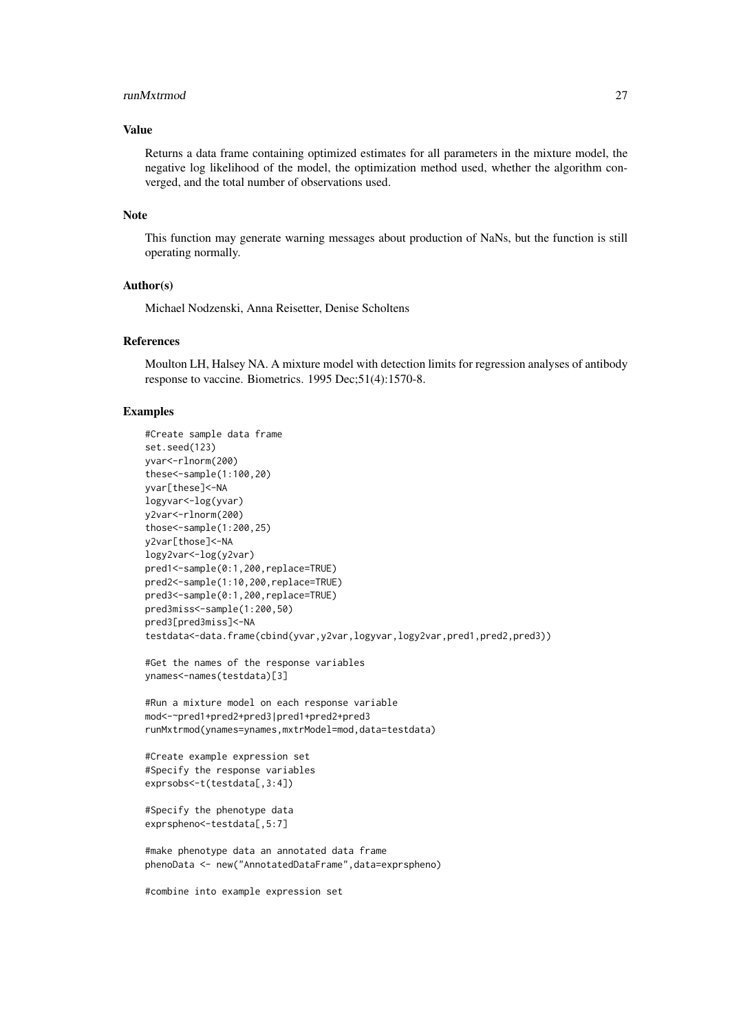#### runMxtrmod 27

#### Value

Returns a data frame containing optimized estimates for all parameters in the mixture model, the negative log likelihood of the model, the optimization method used, whether the algorithm converged, and the total number of observations used.

#### Note

This function may generate warning messages about production of NaNs, but the function is still operating normally.

#### Author(s)

Michael Nodzenski, Anna Reisetter, Denise Scholtens

#### References

Moulton LH, Halsey NA. A mixture model with detection limits for regression analyses of antibody response to vaccine. Biometrics. 1995 Dec;51(4):1570-8.

#### Examples

```
#Create sample data frame
set.seed(123)
yvar<-rlnorm(200)
these<-sample(1:100,20)
yvar[these]<-NA
logyvar<-log(yvar)
y2var<-rlnorm(200)
those<-sample(1:200,25)
y2var[those]<-NA
logy2var<-log(y2var)
pred1<-sample(0:1,200,replace=TRUE)
pred2<-sample(1:10,200,replace=TRUE)
pred3<-sample(0:1,200,replace=TRUE)
pred3miss<-sample(1:200,50)
pred3[pred3miss]<-NA
testdata<-data.frame(cbind(yvar,y2var,logyvar,logy2var,pred1,pred2,pred3))
#Get the names of the response variables
ynames<-names(testdata)[3]
#Run a mixture model on each response variable
mod<-~pred1+pred2+pred3|pred1+pred2+pred3
runMxtrmod(ynames=ynames,mxtrModel=mod,data=testdata)
#Create example expression set
#Specify the response variables
exprsobs<-t(testdata[,3:4])
#Specify the phenotype data
exprspheno<-testdata[,5:7]
#make phenotype data an annotated data frame
phenoData <- new("AnnotatedDataFrame",data=exprspheno)
```
#combine into example expression set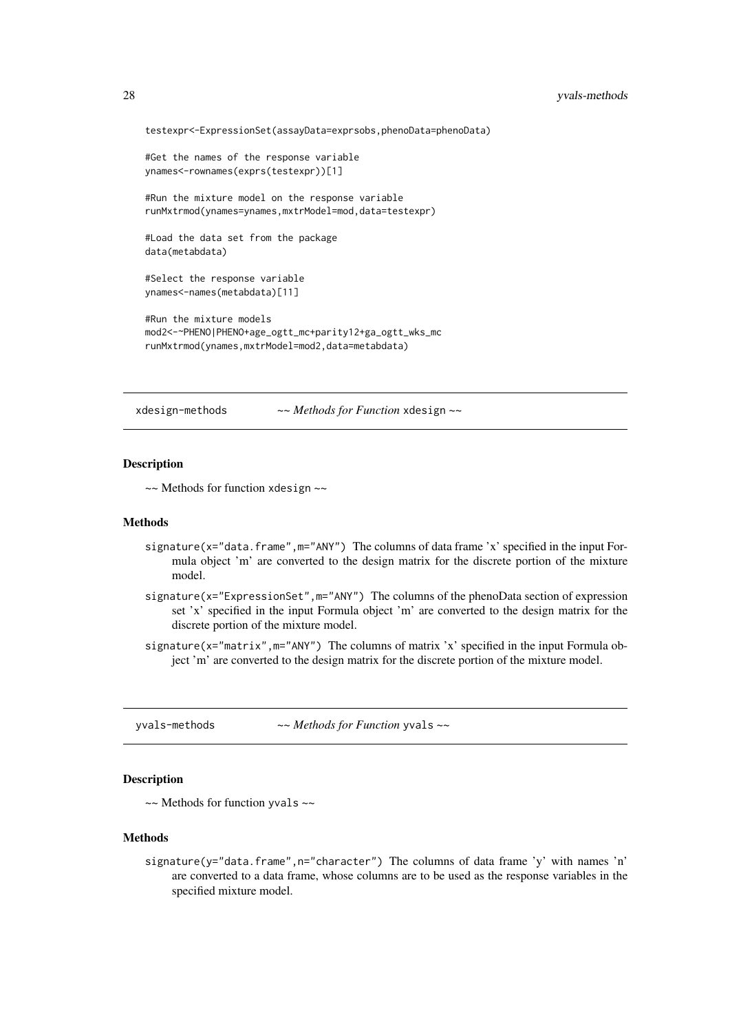```
testexpr<-ExpressionSet(assayData=exprsobs,phenoData=phenoData)
#Get the names of the response variable
ynames<-rownames(exprs(testexpr))[1]
#Run the mixture model on the response variable
runMxtrmod(ynames=ynames,mxtrModel=mod,data=testexpr)
#Load the data set from the package
data(metabdata)
#Select the response variable
ynames<-names(metabdata)[11]
#Run the mixture models
mod2<-~PHENO|PHENO+age_ogtt_mc+parity12+ga_ogtt_wks_mc
runMxtrmod(ynames,mxtrModel=mod2,data=metabdata)
```
xdesign-methods *~~ Methods for Function* xdesign *~~*

#### Description

~~ Methods for function xdesign ~~

#### Methods

- signature(x="data.frame",m="ANY") The columns of data frame 'x' specified in the input Formula object 'm' are converted to the design matrix for the discrete portion of the mixture model.
- signature(x="ExpressionSet", m="ANY") The columns of the phenoData section of expression set 'x' specified in the input Formula object 'm' are converted to the design matrix for the discrete portion of the mixture model.
- signature(x="matrix",m="ANY") The columns of matrix 'x' specified in the input Formula object 'm' are converted to the design matrix for the discrete portion of the mixture model.

yvals-methods *~~ Methods for Function* yvals *~~*

### Description

 $\sim$  Methods for function yvals  $\sim$ 

#### Methods

signature(y="data.frame",n="character") The columns of data frame 'y' with names 'n' are converted to a data frame, whose columns are to be used as the response variables in the specified mixture model.

<span id="page-27-0"></span>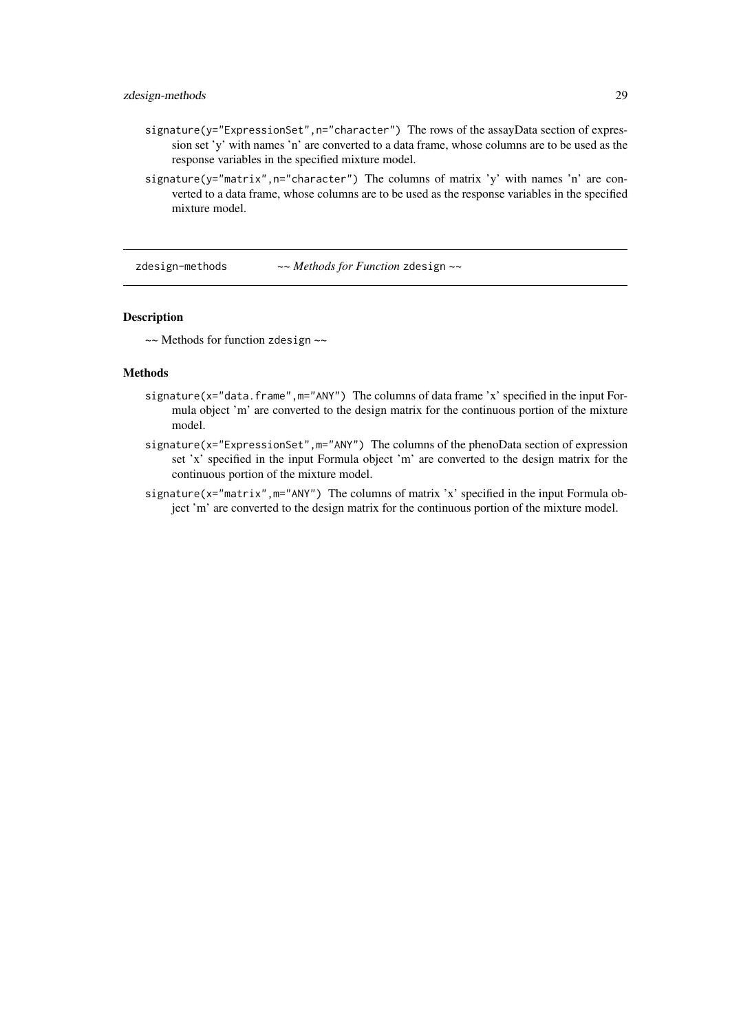#### <span id="page-28-0"></span>zdesign-methods 29

- signature(y="ExpressionSet", n="character") The rows of the assayData section of expression set 'y' with names 'n' are converted to a data frame, whose columns are to be used as the response variables in the specified mixture model.
- signature(y="matrix",n="character") The columns of matrix 'y' with names 'n' are converted to a data frame, whose columns are to be used as the response variables in the specified mixture model.

zdesign-methods *~~ Methods for Function* zdesign *~~*

#### Description

 $\sim$  Methods for function zdesign  $\sim$ 

#### Methods

- signature(x="data.frame",m="ANY") The columns of data frame 'x' specified in the input Formula object 'm' are converted to the design matrix for the continuous portion of the mixture model.
- signature(x="ExpressionSet",m="ANY") The columns of the phenoData section of expression set 'x' specified in the input Formula object 'm' are converted to the design matrix for the continuous portion of the mixture model.
- signature(x="matrix", m="ANY") The columns of matrix 'x' specified in the input Formula object 'm' are converted to the design matrix for the continuous portion of the mixture model.